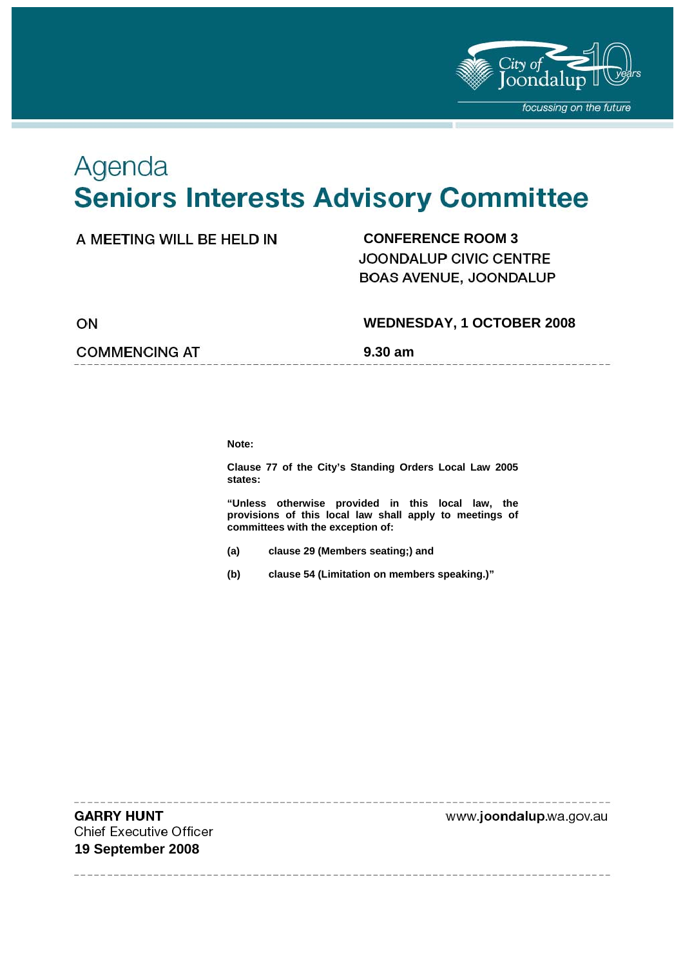

## Agenda **Seniors Interests Advisory Committee**

#### **CONFERENCE ROOM 3**

JOONDALUP CIVIC CENTRE BOAS AVENUE, JOONDALUP

ON

#### **WEDNESDAY, 1 OCTOBER 2008**

**COMMENCING AT 5.30 am** 

**Note:** 

**Clause 77 of the City's Standing Orders Local Law 2005 states:** 

**"Unless otherwise provided in this local law, the provisions of this local law shall apply to meetings of committees with the exception of:** 

- **(a) clause 29 (Members seating;) and**
- **(b) clause 54 (Limitation on members speaking.)"**

**GARRY HUNT Chief Executive Officer 19 September 2008** 

www.joondalup.wa.gov.au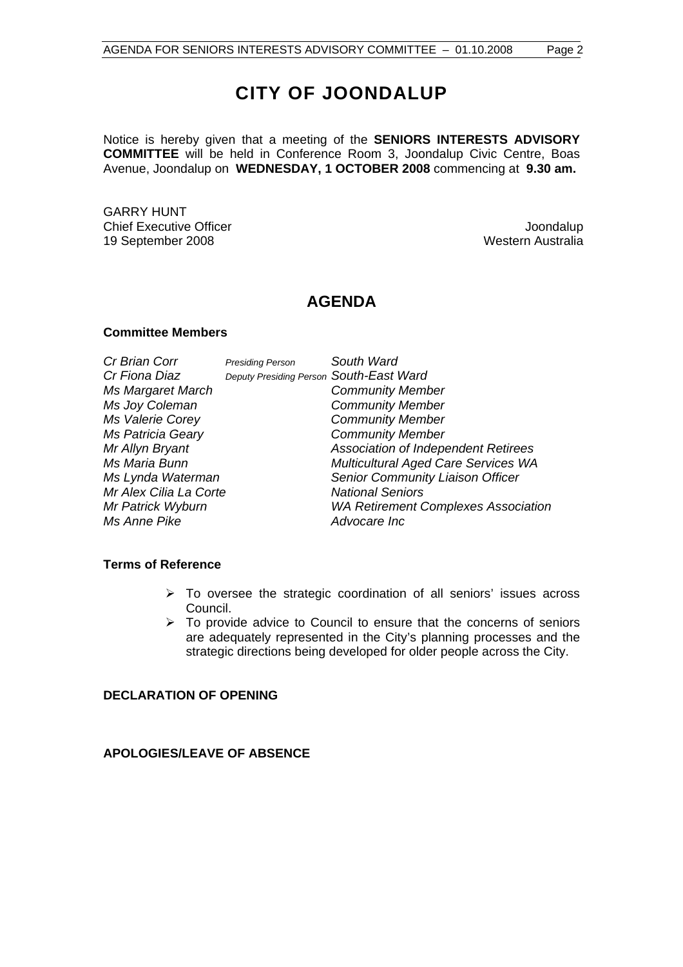## **CITY OF JOONDALUP**

Notice is hereby given that a meeting of the **SENIORS INTERESTS ADVISORY COMMITTEE** will be held in Conference Room 3, Joondalup Civic Centre, Boas Avenue, Joondalup on **WEDNESDAY, 1 OCTOBER 2008** commencing at **9.30 am.**

GARRY HUNT Chief Executive Officer Chief Executive Officer Superversion of the Superversion of the Superversion of the Superversion of the Superversion of the Superversion of the Superversion of the Superversion of the Superversion o 19 September 2008

### **AGENDA**

#### **Committee Members**

| Cr Brian Corr          | <b>Presiding Person</b>                 | South Ward                                 |
|------------------------|-----------------------------------------|--------------------------------------------|
| Cr Fiona Diaz          | Deputy Presiding Person South-East Ward |                                            |
| Ms Margaret March      |                                         | <b>Community Member</b>                    |
| Ms Joy Coleman         |                                         | <b>Community Member</b>                    |
| Ms Valerie Corey       |                                         | <b>Community Member</b>                    |
| Ms Patricia Geary      |                                         | <b>Community Member</b>                    |
| Mr Allyn Bryant        |                                         | <b>Association of Independent Retirees</b> |
| Ms Maria Bunn          |                                         | <b>Multicultural Aged Care Services WA</b> |
| Ms Lynda Waterman      |                                         | Senior Community Liaison Officer           |
| Mr Alex Cilia La Corte |                                         | <b>National Seniors</b>                    |
| Mr Patrick Wyburn      |                                         | <b>WA Retirement Complexes Association</b> |
| Ms Anne Pike           |                                         | Advocare Inc                               |

#### **Terms of Reference**

- $\triangleright$  To oversee the strategic coordination of all seniors' issues across Council.
- $\triangleright$  To provide advice to Council to ensure that the concerns of seniors are adequately represented in the City's planning processes and the strategic directions being developed for older people across the City.

#### **DECLARATION OF OPENING**

#### **APOLOGIES/LEAVE OF ABSENCE**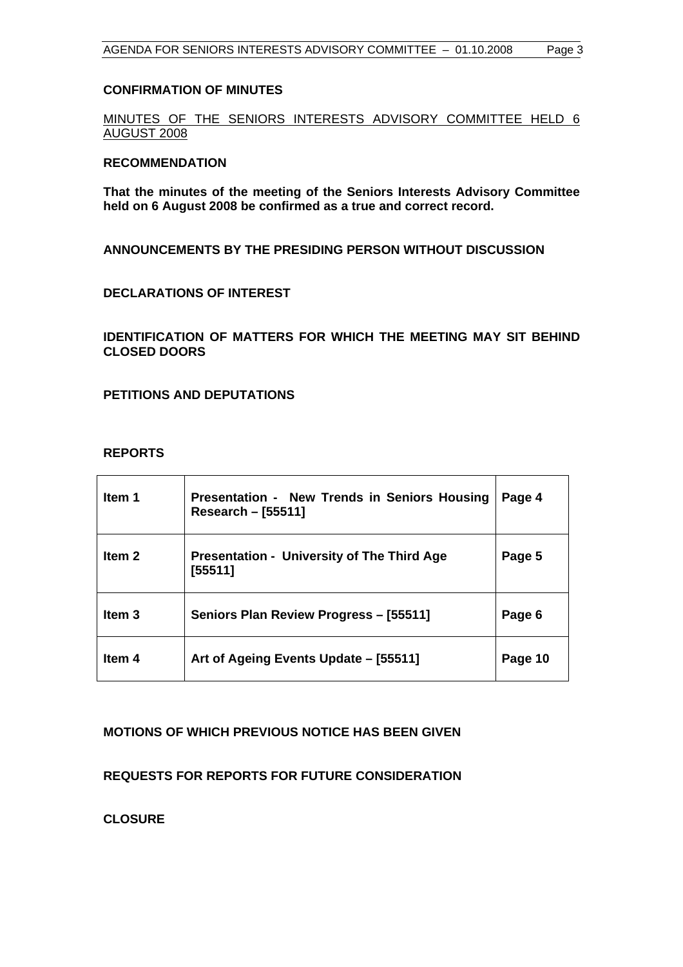#### **CONFIRMATION OF MINUTES**

MINUTES OF THE SENIORS INTERESTS ADVISORY COMMITTEE HELD 6 AUGUST 2008

#### **RECOMMENDATION**

**That the minutes of the meeting of the Seniors Interests Advisory Committee held on 6 August 2008 be confirmed as a true and correct record.** 

**ANNOUNCEMENTS BY THE PRESIDING PERSON WITHOUT DISCUSSION** 

#### **DECLARATIONS OF INTEREST**

**IDENTIFICATION OF MATTERS FOR WHICH THE MEETING MAY SIT BEHIND CLOSED DOORS** 

#### **PETITIONS AND DEPUTATIONS**

#### **REPORTS**

| Item 1            | Presentation - New Trends in Seniors Housing<br>Research – [55511] | Page 4  |
|-------------------|--------------------------------------------------------------------|---------|
| Item <sub>2</sub> | <b>Presentation - University of The Third Age</b><br>[55511]       | Page 5  |
| Item 3            | Seniors Plan Review Progress - [55511]                             | Page 6  |
| Item 4            | Art of Ageing Events Update - [55511]                              | Page 10 |

#### **MOTIONS OF WHICH PREVIOUS NOTICE HAS BEEN GIVEN**

**REQUESTS FOR REPORTS FOR FUTURE CONSIDERATION** 

**CLOSURE**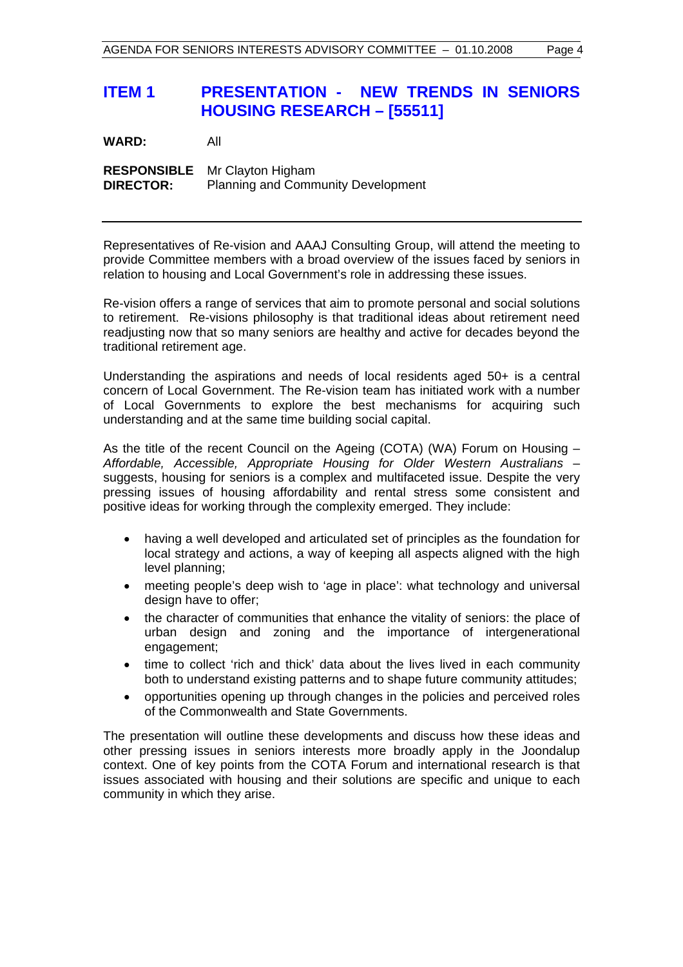## **ITEM 1 PRESENTATION - NEW TRENDS IN SENIORS HOUSING RESEARCH – [55511]**

**WARD:** All

**RESPONSIBLE** Mr Clayton Higham **DIRECTOR:** Planning and Community Development

Representatives of Re-vision and AAAJ Consulting Group, will attend the meeting to provide Committee members with a broad overview of the issues faced by seniors in relation to housing and Local Government's role in addressing these issues.

Re-vision offers a range of services that aim to promote personal and social solutions to retirement. Re-visions philosophy is that traditional ideas about retirement need readjusting now that so many seniors are healthy and active for decades beyond the traditional retirement age.

Understanding the aspirations and needs of local residents aged 50+ is a central concern of Local Government. The Re-vision team has initiated work with a number of Local Governments to explore the best mechanisms for acquiring such understanding and at the same time building social capital.

As the title of the recent Council on the Ageing (COTA) (WA) Forum on Housing – *Affordable, Accessible, Appropriate Housing for Older Western Australians* – suggests, housing for seniors is a complex and multifaceted issue. Despite the very pressing issues of housing affordability and rental stress some consistent and positive ideas for working through the complexity emerged. They include:

- having a well developed and articulated set of principles as the foundation for local strategy and actions, a way of keeping all aspects aligned with the high level planning;
- meeting people's deep wish to 'age in place': what technology and universal design have to offer:
- the character of communities that enhance the vitality of seniors: the place of urban design and zoning and the importance of intergenerational engagement;
- time to collect 'rich and thick' data about the lives lived in each community both to understand existing patterns and to shape future community attitudes;
- opportunities opening up through changes in the policies and perceived roles of the Commonwealth and State Governments.

The presentation will outline these developments and discuss how these ideas and other pressing issues in seniors interests more broadly apply in the Joondalup context. One of key points from the COTA Forum and international research is that issues associated with housing and their solutions are specific and unique to each community in which they arise.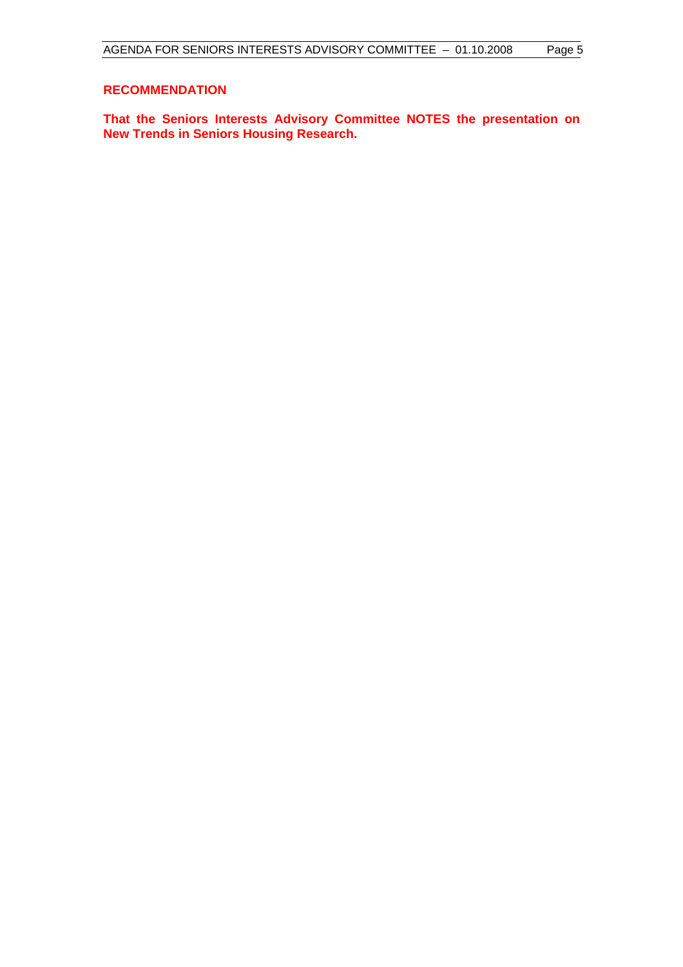#### **RECOMMENDATION**

**That the Seniors Interests Advisory Committee NOTES the presentation on New Trends in Seniors Housing Research.**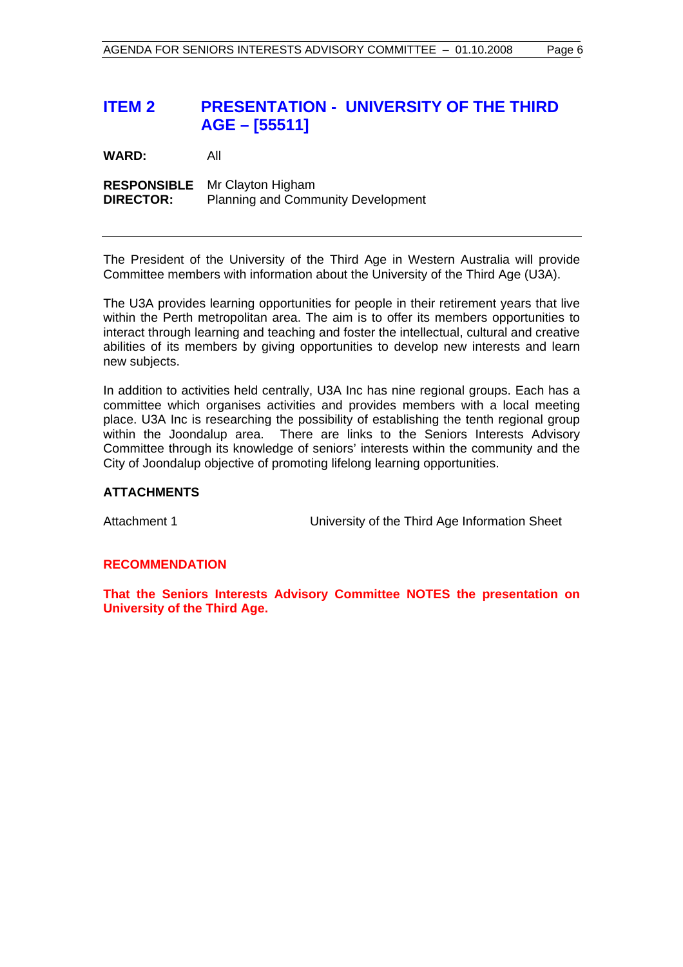## **ITEM 2 PRESENTATION - UNIVERSITY OF THE THIRD AGE – [55511]**

**WARD:** All

**RESPONSIBLE** Mr Clayton Higham **DIRECTOR:** Planning and Community Development

The President of the University of the Third Age in Western Australia will provide Committee members with information about the University of the Third Age (U3A).

The U3A provides learning opportunities for people in their retirement years that live within the Perth metropolitan area. The aim is to offer its members opportunities to interact through learning and teaching and foster the intellectual, cultural and creative abilities of its members by giving opportunities to develop new interests and learn new subjects.

In addition to activities held centrally, U3A Inc has nine regional groups. Each has a committee which organises activities and provides members with a local meeting place. U3A Inc is researching the possibility of establishing the tenth regional group within the Joondalup area. There are links to the Seniors Interests Advisory Committee through its knowledge of seniors' interests within the community and the City of Joondalup objective of promoting lifelong learning opportunities.

#### **ATTACHMENTS**

Attachment 1 University of the Third Age Information Sheet

#### **RECOMMENDATION**

**That the Seniors Interests Advisory Committee NOTES the presentation on University of the Third Age.**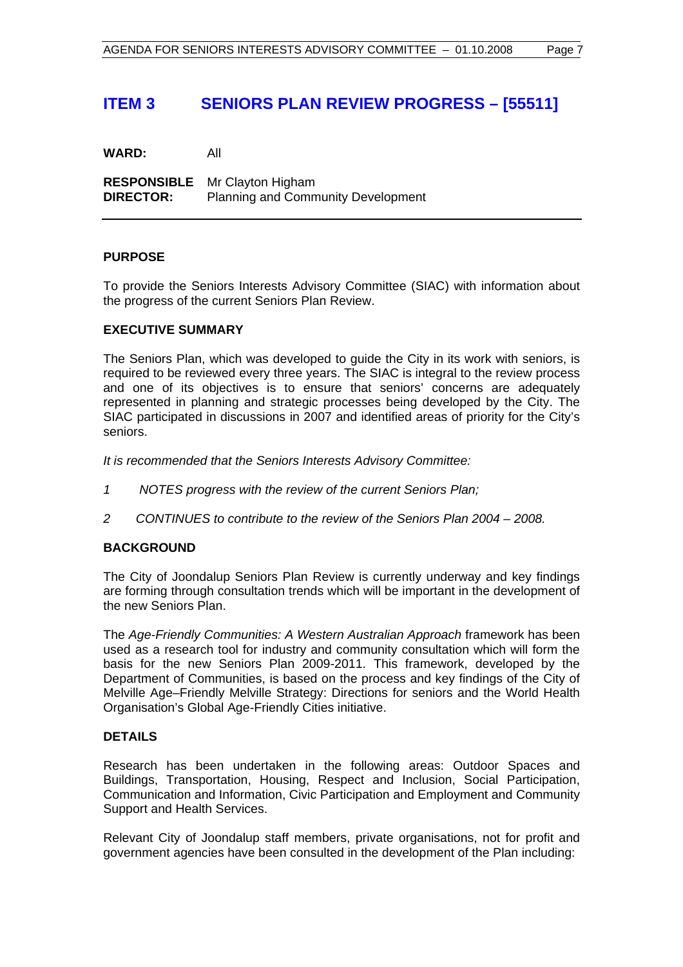## **ITEM 3 SENIORS PLAN REVIEW PROGRESS – [55511]**

**WARD:** All

**RESPONSIBLE** Mr Clayton Higham **DIRECTOR:** Planning and Community Development

#### **PURPOSE**

To provide the Seniors Interests Advisory Committee (SIAC) with information about the progress of the current Seniors Plan Review.

#### **EXECUTIVE SUMMARY**

The Seniors Plan, which was developed to guide the City in its work with seniors, is required to be reviewed every three years. The SIAC is integral to the review process and one of its objectives is to ensure that seniors' concerns are adequately represented in planning and strategic processes being developed by the City. The SIAC participated in discussions in 2007 and identified areas of priority for the City's seniors.

*It is recommended that the Seniors Interests Advisory Committee:*

- *1 NOTES progress with the review of the current Seniors Plan;*
- *2 CONTINUES to contribute to the review of the Seniors Plan 2004 2008.*

#### **BACKGROUND**

The City of Joondalup Seniors Plan Review is currently underway and key findings are forming through consultation trends which will be important in the development of the new Seniors Plan.

The *Age-Friendly Communities: A Western Australian Approach* framework has been used as a research tool for industry and community consultation which will form the basis for the new Seniors Plan 2009-2011. This framework, developed by the Department of Communities, is based on the process and key findings of the City of Melville Age–Friendly Melville Strategy: Directions for seniors and the World Health Organisation's Global Age-Friendly Cities initiative.

#### **DETAILS**

Research has been undertaken in the following areas: Outdoor Spaces and Buildings, Transportation, Housing, Respect and Inclusion, Social Participation, Communication and Information, Civic Participation and Employment and Community Support and Health Services.

Relevant City of Joondalup staff members, private organisations, not for profit and government agencies have been consulted in the development of the Plan including: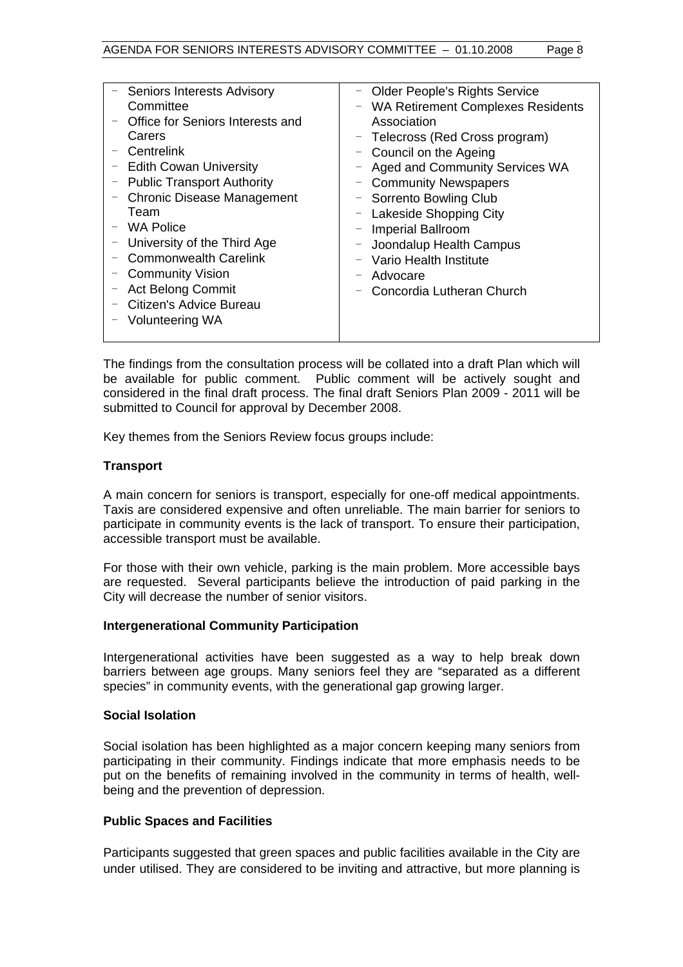|                          | - Seniors Interests Advisory      |   | <b>Older People's Rights Service</b>     |
|--------------------------|-----------------------------------|---|------------------------------------------|
|                          | Committee                         | - | <b>WA Retirement Complexes Residents</b> |
|                          | Office for Seniors Interests and  |   | Association                              |
|                          | Carers                            |   | - Telecross (Red Cross program)          |
|                          | Centrelink                        |   | - Council on the Ageing                  |
| -                        | <b>Edith Cowan University</b>     |   | <b>Aged and Community Services WA</b>    |
|                          | - Public Transport Authority      |   | <b>Community Newspapers</b>              |
| $\qquad \qquad -$        | <b>Chronic Disease Management</b> |   | - Sorrento Bowling Club                  |
|                          | Team                              |   | - Lakeside Shopping City                 |
|                          | - WA Police                       |   | - Imperial Ballroom                      |
|                          | University of the Third Age       |   | Joondalup Health Campus                  |
|                          | <b>Commonwealth Carelink</b>      |   | Vario Health Institute                   |
| $\overline{\phantom{0}}$ | <b>Community Vision</b>           |   | Advocare                                 |
|                          | <b>Act Belong Commit</b>          |   | Concordia Lutheran Church                |
|                          | Citizen's Advice Bureau           |   |                                          |
|                          | <b>Volunteering WA</b>            |   |                                          |
|                          |                                   |   |                                          |
|                          |                                   |   |                                          |

The findings from the consultation process will be collated into a draft Plan which will be available for public comment. Public comment will be actively sought and considered in the final draft process. The final draft Seniors Plan 2009 - 2011 will be submitted to Council for approval by December 2008.

Key themes from the Seniors Review focus groups include:

#### **Transport**

A main concern for seniors is transport, especially for one-off medical appointments. Taxis are considered expensive and often unreliable. The main barrier for seniors to participate in community events is the lack of transport. To ensure their participation, accessible transport must be available.

For those with their own vehicle, parking is the main problem. More accessible bays are requested. Several participants believe the introduction of paid parking in the City will decrease the number of senior visitors.

#### **Intergenerational Community Participation**

Intergenerational activities have been suggested as a way to help break down barriers between age groups. Many seniors feel they are "separated as a different species" in community events, with the generational gap growing larger.

#### **Social Isolation**

Social isolation has been highlighted as a major concern keeping many seniors from participating in their community. Findings indicate that more emphasis needs to be put on the benefits of remaining involved in the community in terms of health, wellbeing and the prevention of depression.

#### **Public Spaces and Facilities**

Participants suggested that green spaces and public facilities available in the City are under utilised. They are considered to be inviting and attractive, but more planning is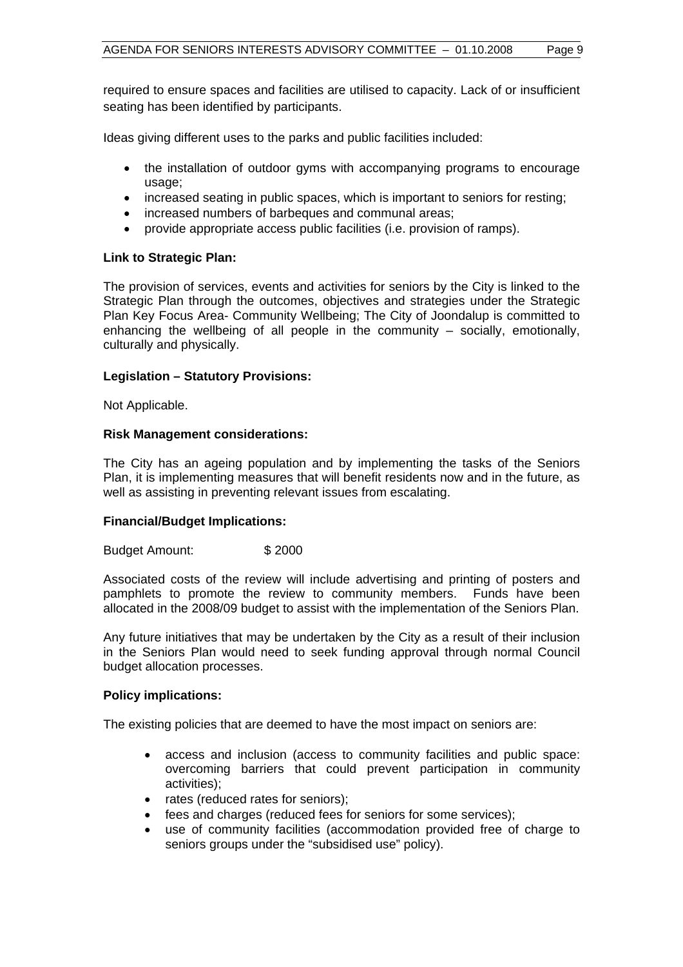required to ensure spaces and facilities are utilised to capacity. Lack of or insufficient seating has been identified by participants.

Ideas giving different uses to the parks and public facilities included:

- the installation of outdoor gyms with accompanying programs to encourage usage;
- increased seating in public spaces, which is important to seniors for resting;
- increased numbers of barbeques and communal areas;
- provide appropriate access public facilities (i.e. provision of ramps).

#### **Link to Strategic Plan:**

The provision of services, events and activities for seniors by the City is linked to the Strategic Plan through the outcomes, objectives and strategies under the Strategic Plan Key Focus Area- Community Wellbeing; The City of Joondalup is committed to enhancing the wellbeing of all people in the community – socially, emotionally, culturally and physically.

#### **Legislation – Statutory Provisions:**

Not Applicable.

#### **Risk Management considerations:**

The City has an ageing population and by implementing the tasks of the Seniors Plan, it is implementing measures that will benefit residents now and in the future, as well as assisting in preventing relevant issues from escalating.

#### **Financial/Budget Implications:**

Budget Amount: \$ 2000

Associated costs of the review will include advertising and printing of posters and pamphlets to promote the review to community members. Funds have been allocated in the 2008/09 budget to assist with the implementation of the Seniors Plan.

Any future initiatives that may be undertaken by the City as a result of their inclusion in the Seniors Plan would need to seek funding approval through normal Council budget allocation processes.

#### **Policy implications:**

The existing policies that are deemed to have the most impact on seniors are:

- access and inclusion (access to community facilities and public space: overcoming barriers that could prevent participation in community activities);
- rates (reduced rates for seniors);
- fees and charges (reduced fees for seniors for some services);
- use of community facilities (accommodation provided free of charge to seniors groups under the "subsidised use" policy).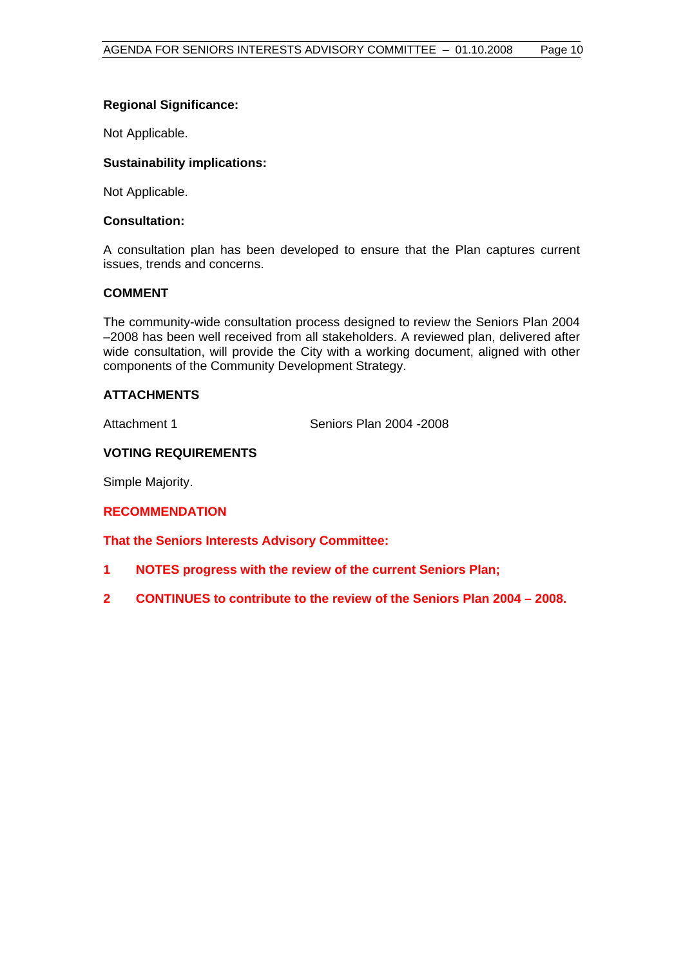#### **Regional Significance:**

Not Applicable.

#### **Sustainability implications:**

Not Applicable.

#### **Consultation:**

A consultation plan has been developed to ensure that the Plan captures current issues, trends and concerns.

#### **COMMENT**

The community-wide consultation process designed to review the Seniors Plan 2004 –2008 has been well received from all stakeholders. A reviewed plan, delivered after wide consultation, will provide the City with a working document, aligned with other components of the Community Development Strategy.

#### **ATTACHMENTS**

Attachment 1 Seniors Plan 2004 - 2008

#### **VOTING REQUIREMENTS**

Simple Majority.

#### **RECOMMENDATION**

**That the Seniors Interests Advisory Committee:** 

- **1 NOTES progress with the review of the current Seniors Plan;**
- **2 CONTINUES to contribute to the review of the Seniors Plan 2004 2008.**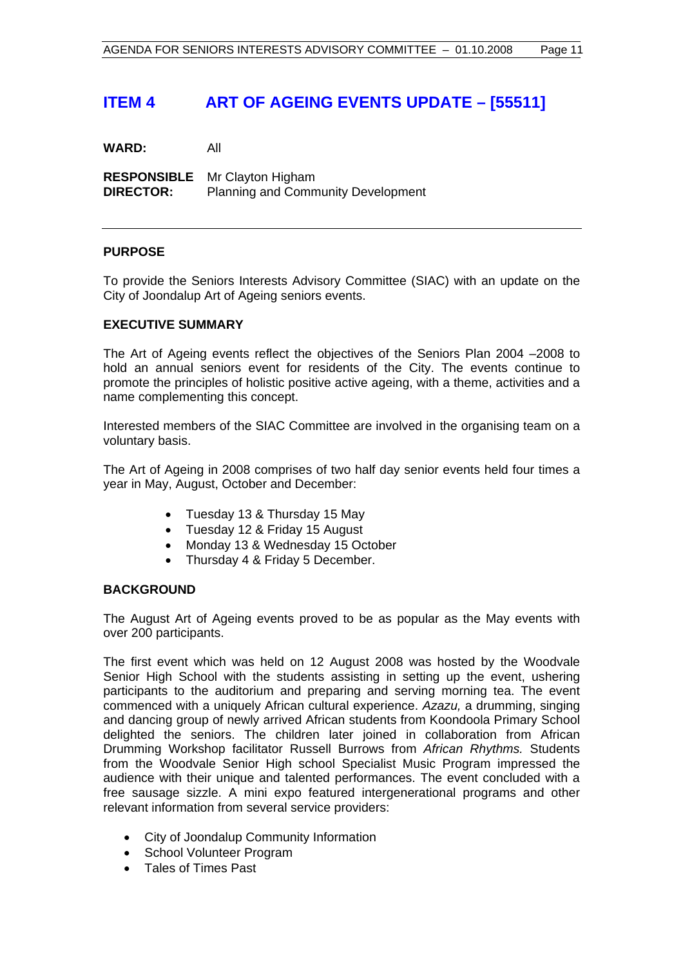## **ITEM 4 ART OF AGEING EVENTS UPDATE – [55511]**

**WARD:** All

**RESPONSIBLE** Mr Clayton Higham **DIRECTOR:** Planning and Community Development

#### **PURPOSE**

To provide the Seniors Interests Advisory Committee (SIAC) with an update on the City of Joondalup Art of Ageing seniors events.

#### **EXECUTIVE SUMMARY**

The Art of Ageing events reflect the objectives of the Seniors Plan 2004 –2008 to hold an annual seniors event for residents of the City. The events continue to promote the principles of holistic positive active ageing, with a theme, activities and a name complementing this concept.

Interested members of the SIAC Committee are involved in the organising team on a voluntary basis.

The Art of Ageing in 2008 comprises of two half day senior events held four times a year in May, August, October and December:

- Tuesday 13 & Thursday 15 May
- Tuesday 12 & Friday 15 August
- Monday 13 & Wednesday 15 October
- Thursday 4 & Friday 5 December.

#### **BACKGROUND**

The August Art of Ageing events proved to be as popular as the May events with over 200 participants.

The first event which was held on 12 August 2008 was hosted by the Woodvale Senior High School with the students assisting in setting up the event, ushering participants to the auditorium and preparing and serving morning tea. The event commenced with a uniquely African cultural experience. *Azazu,* a drumming, singing and dancing group of newly arrived African students from Koondoola Primary School delighted the seniors. The children later joined in collaboration from African Drumming Workshop facilitator Russell Burrows from *African Rhythms.* Students from the Woodvale Senior High school Specialist Music Program impressed the audience with their unique and talented performances. The event concluded with a free sausage sizzle. A mini expo featured intergenerational programs and other relevant information from several service providers:

- City of Joondalup Community Information
- School Volunteer Program
- Tales of Times Past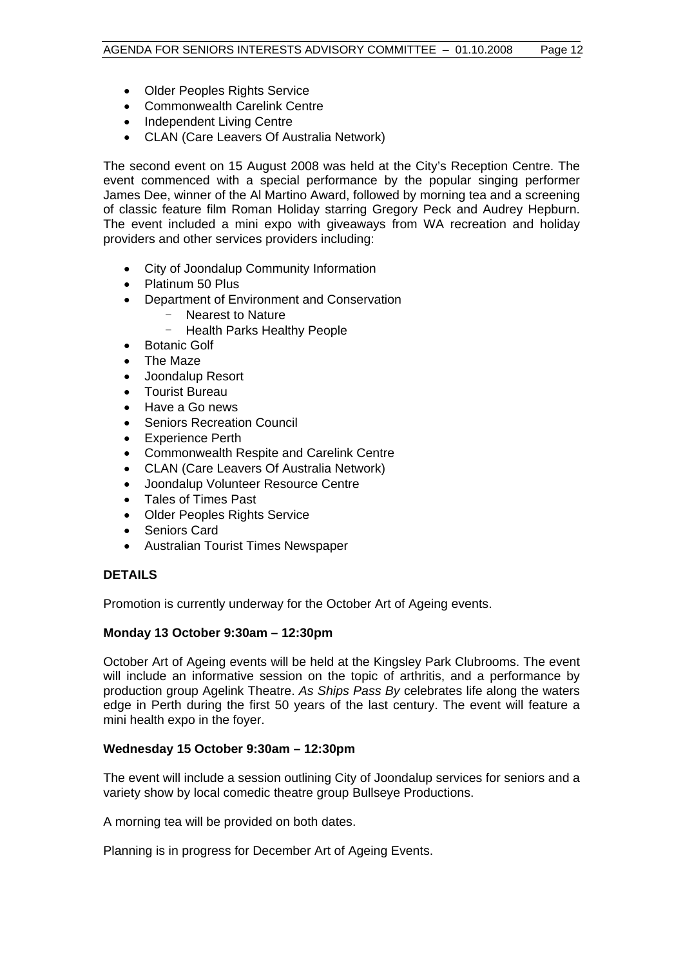- Older Peoples Rights Service
- Commonwealth Carelink Centre
- Independent Living Centre
- CLAN (Care Leavers Of Australia Network)

The second event on 15 August 2008 was held at the City's Reception Centre. The event commenced with a special performance by the popular singing performer James Dee, winner of the Al Martino Award, followed by morning tea and a screening of classic feature film Roman Holiday starring Gregory Peck and Audrey Hepburn. The event included a mini expo with giveaways from WA recreation and holiday providers and other services providers including:

- City of Joondalup Community Information
- Platinum 50 Plus
- Department of Environment and Conservation
	- Nearest to Nature
		- Health Parks Healthy People
- Botanic Golf
- The Maze
- Joondalup Resort
- Tourist Bureau
- Have a Go news
- Seniors Recreation Council
- **Experience Perth**
- Commonwealth Respite and Carelink Centre
- CLAN (Care Leavers Of Australia Network)
- Joondalup Volunteer Resource Centre
- Tales of Times Past
- Older Peoples Rights Service
- Seniors Card
- Australian Tourist Times Newspaper

#### **DETAILS**

Promotion is currently underway for the October Art of Ageing events.

#### **Monday 13 October 9:30am – 12:30pm**

October Art of Ageing events will be held at the Kingsley Park Clubrooms. The event will include an informative session on the topic of arthritis, and a performance by production group Agelink Theatre. *As Ships Pass By* celebrates life along the waters edge in Perth during the first 50 years of the last century. The event will feature a mini health expo in the foyer.

#### **Wednesday 15 October 9:30am – 12:30pm**

The event will include a session outlining City of Joondalup services for seniors and a variety show by local comedic theatre group Bullseye Productions.

A morning tea will be provided on both dates.

Planning is in progress for December Art of Ageing Events.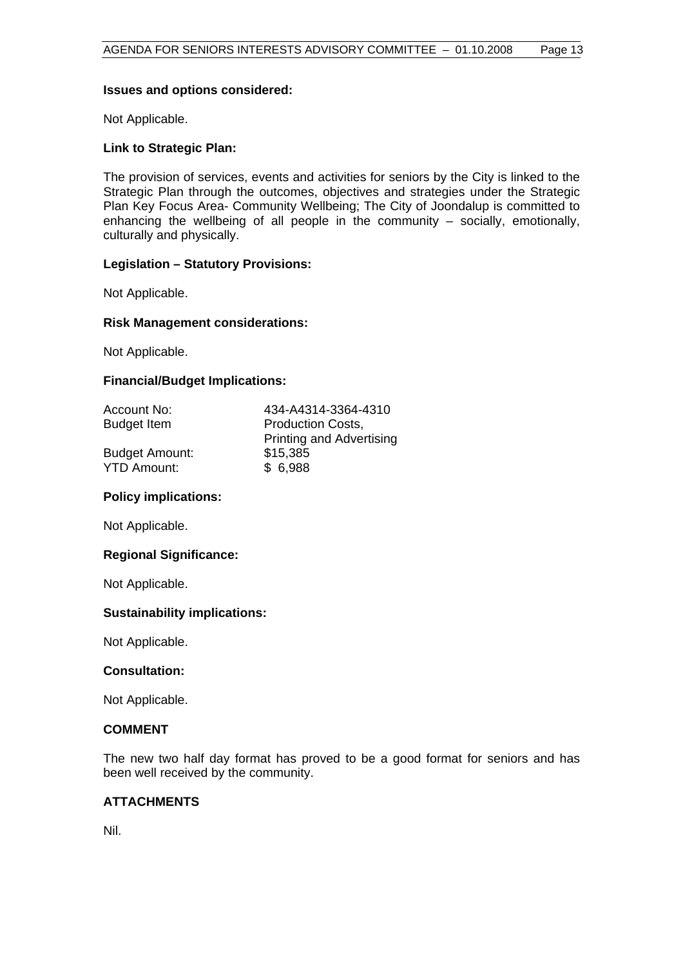#### **Issues and options considered:**

Not Applicable.

#### **Link to Strategic Plan:**

The provision of services, events and activities for seniors by the City is linked to the Strategic Plan through the outcomes, objectives and strategies under the Strategic Plan Key Focus Area- Community Wellbeing; The City of Joondalup is committed to enhancing the wellbeing of all people in the community – socially, emotionally, culturally and physically.

#### **Legislation – Statutory Provisions:**

Not Applicable.

#### **Risk Management considerations:**

Not Applicable.

#### **Financial/Budget Implications:**

| Account No:           | 434-A4314-3364-4310             |
|-----------------------|---------------------------------|
| <b>Budget Item</b>    | <b>Production Costs,</b>        |
|                       | <b>Printing and Advertising</b> |
| <b>Budget Amount:</b> | \$15,385                        |
| <b>YTD Amount:</b>    | \$6,988                         |

#### **Policy implications:**

Not Applicable.

#### **Regional Significance:**

Not Applicable.

#### **Sustainability implications:**

Not Applicable.

#### **Consultation:**

Not Applicable.

#### **COMMENT**

The new two half day format has proved to be a good format for seniors and has been well received by the community.

#### **ATTACHMENTS**

Nil.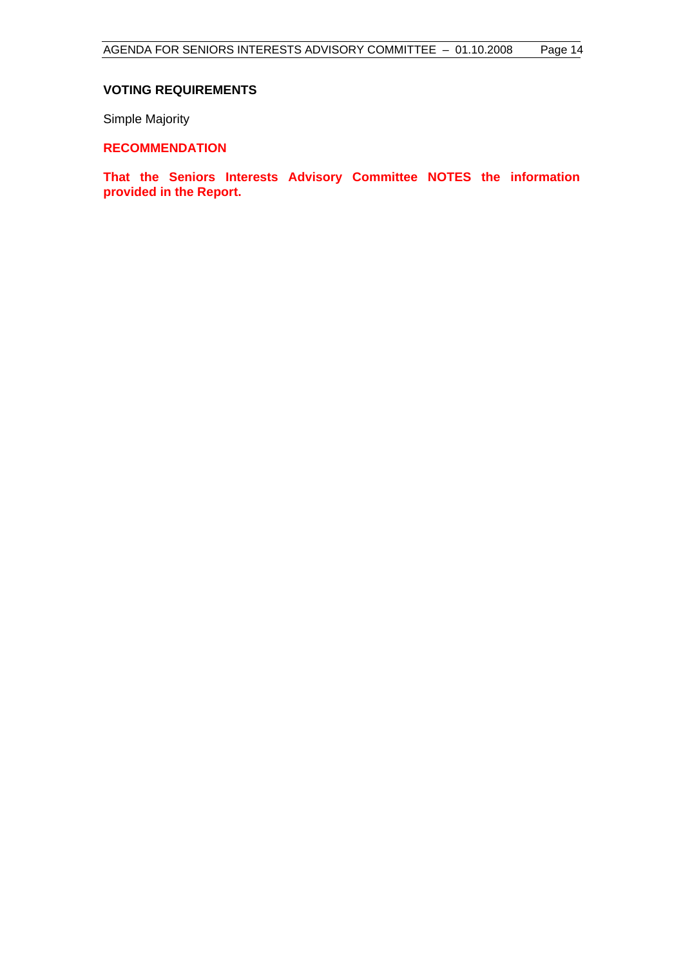#### **VOTING REQUIREMENTS**

Simple Majority

#### **RECOMMENDATION**

**That the Seniors Interests Advisory Committee NOTES the information provided in the Report.**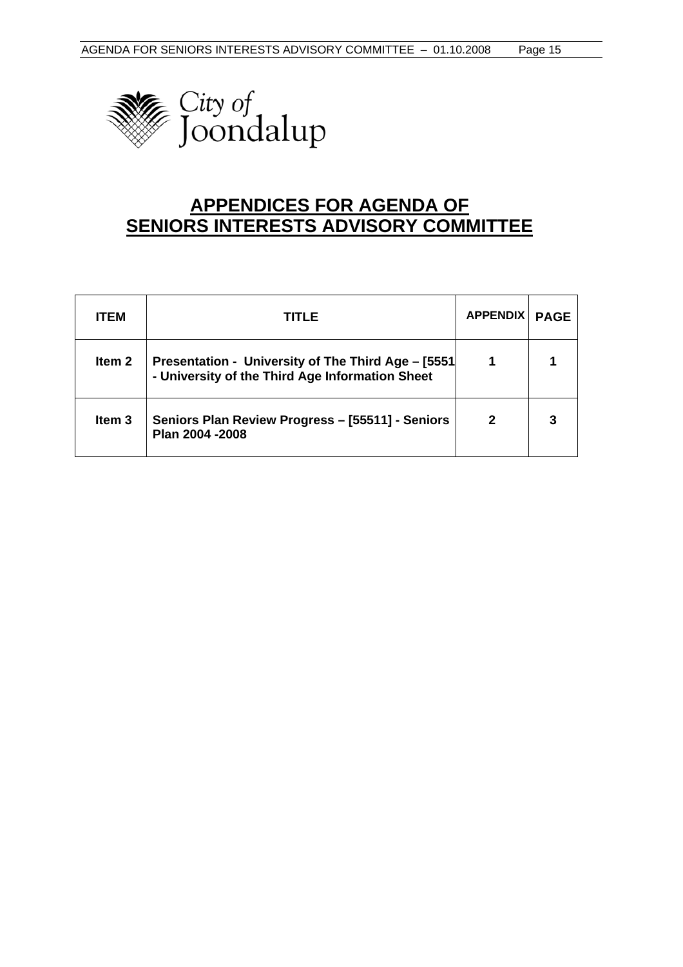

## **APPENDICES FOR AGENDA OF SENIORS INTERESTS ADVISORY COMMITTEE**

| <b>ITEM</b>       | TITLE                                                                                                  | <b>APPENDIX</b> | <b>PAGE</b> |
|-------------------|--------------------------------------------------------------------------------------------------------|-----------------|-------------|
| Item <sub>2</sub> | Presentation - University of The Third Age - [5551]<br>- University of the Third Age Information Sheet |                 |             |
| Item <sub>3</sub> | Seniors Plan Review Progress - [55511] - Seniors<br>Plan 2004 - 2008                                   | 2               |             |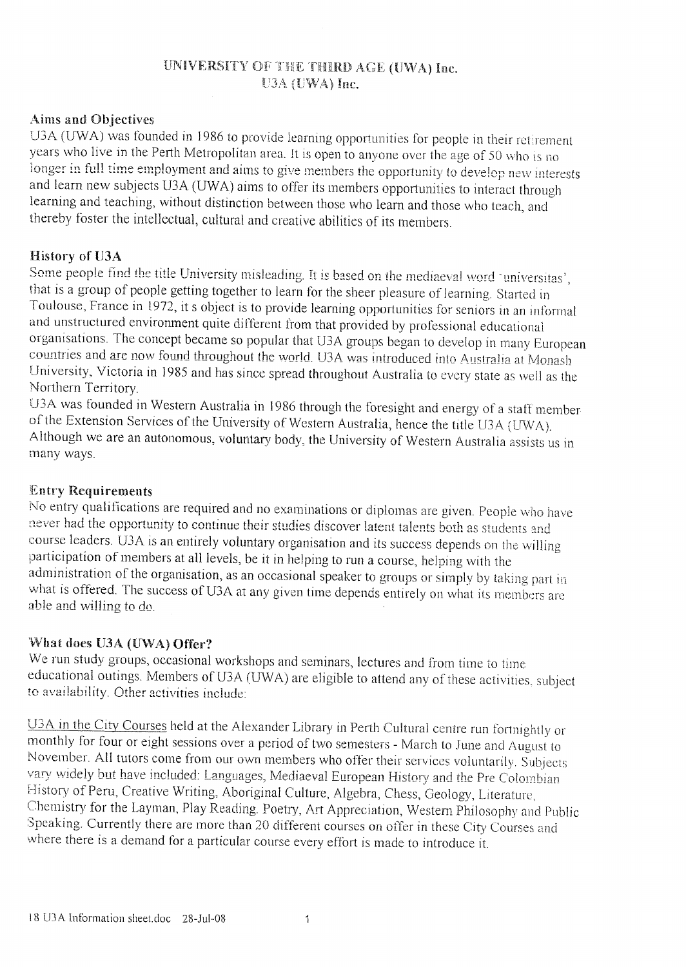#### UNIVERSITY OF THE THIRD AGE (UWA) Inc. U3A (UWA) Inc.

#### **Aims and Objectives**

U3A (UWA) was founded in 1986 to provide learning opportunities for people in their retirement years who live in the Perth Metropolitan area. It is open to anyone over the age of 50 who is no longer in full time employment and aims to give members the opportunity to develop new interests and learn new subjects U3A (UWA) aims to offer its members opportunities to interact through learning and teaching, without distinction between those who learn and those who teach, and thereby foster the intellectual, cultural and creative abilities of its members.

#### History of U3A

Some people find the title University misleading. It is based on the mediaeval word 'universitas', that is a group of people getting together to learn for the sheer pleasure of learning. Started in Toulouse, France in 1972, it s object is to provide learning opportunities for seniors in an informal and unstructured environment quite different from that provided by professional educational organisations. The concept became so popular that U3A groups began to develop in many European countries and are now found throughout the world. U3A was introduced into Australia at Monash University, Victoria in 1985 and has since spread throughout Australia to every state as well as the Northern Territory.

U3A was founded in Western Australia in 1986 through the foresight and energy of a staff member of the Extension Services of the University of Western Australia, hence the title U3A (UWA). Although we are an autonomous, voluntary body, the University of Western Australia assists us in many ways.

#### **Entry Requirements**

No entry qualifications are required and no examinations or diplomas are given. People who have never had the opportunity to continue their studies discover latent talents both as students and course leaders. U3A is an entirely voluntary organisation and its success depends on the willing participation of members at all levels, be it in helping to run a course, helping with the administration of the organisation, as an occasional speaker to groups or simply by taking part in what is offered. The success of U3A at any given time depends entirely on what its members are able and willing to do.

#### What does U3A (UWA) Offer?

We run study groups, occasional workshops and seminars, lectures and from time to time educational outings. Members of U3A (UWA) are eligible to attend any of these activities, subject to availability. Other activities include:

U3A in the City Courses held at the Alexander Library in Perth Cultural centre run fortnightly or monthly for four or eight sessions over a period of two semesters - March to June and August to November. All tutors come from our own members who offer their services voluntarily. Subjects vary widely but have included: Languages, Mediaeval European History and the Pre Colombian History of Peru, Creative Writing, Aboriginal Culture, Algebra, Chess, Geology, Literature, Chemistry for the Layman, Play Reading. Poetry, Art Appreciation, Western Philosophy and Public Speaking. Currently there are more than 20 different courses on offer in these City Courses and where there is a demand for a particular course every effort is made to introduce it.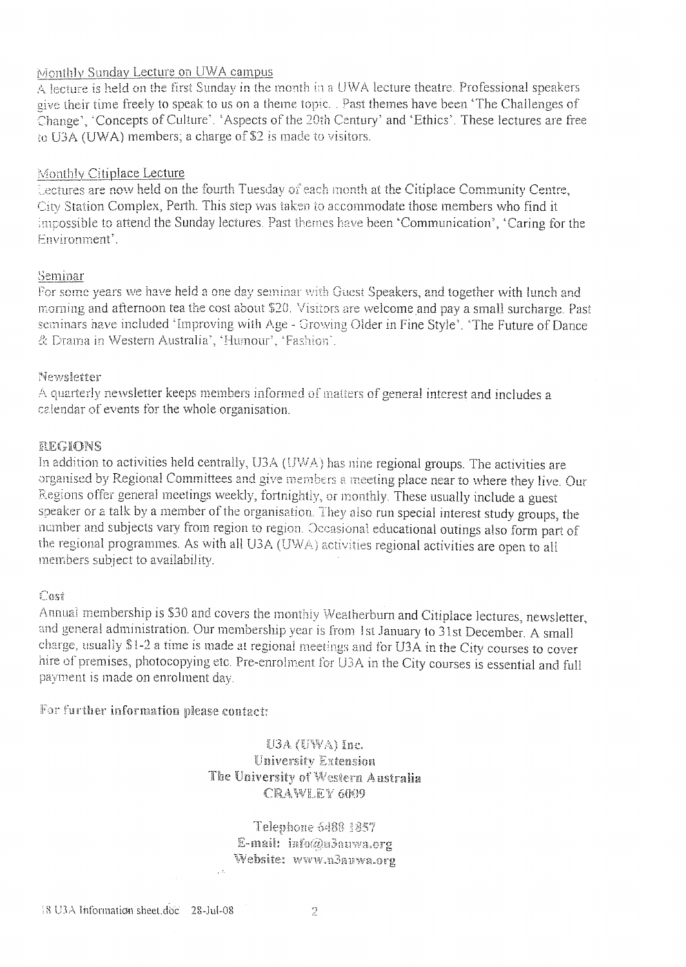#### Monthly Sunday Lecture on UWA campus

A lecture is held on the first Sunday in the month in a UWA lecture theatre. Professional speakers give their time freely to speak to us on a theme topic. Past themes have been 'The Challenges of Change', 'Concepts of Culture'. 'Aspects of the 20th Century' and 'Ethics'. These lectures are free to U3A (UWA) members; a charge of \$2 is made to visitors.

#### Monthly Citiplace Lecture

Lectures are now held on the fourth Tuesday of each month at the Citiplace Community Centre, City Station Complex, Perth. This step was taken to accommodate those members who find it impossible to attend the Sunday lectures. Past themes have been 'Communication', 'Caring for the Fnvironment'

#### Seminar

For some years we have held a one day seminar with Guest Speakers, and together with lunch and morning and afternoon tea the cost about \$20. Visitors are welcome and pay a small surcharge. Past seminars have included 'Improving with Age - Growing Older in Fine Style'. 'The Future of Dance & Drama in Western Australia', 'Humour', 'Fashion'.

#### Newsletter

A quarterly newsletter keeps members informed of matters of general interest and includes a calendar of events for the whole organisation.

#### REGIONS

In addition to activities held centrally, U3A (UWA) has nine regional groups. The activities are organised by Regional Committees and give members a meeting place near to where they live. Our Regions offer general meetings weekly, fortnightly, or monthly. These usually include a guest speaker or a talk by a member of the organisation. They also run special interest study groups, the number and subjects vary from region to region. Occasional educational outings also form part of the regional programmes. As with all U3A (UWA) activities regional activities are open to all members subject to availability.

#### Cost

Annual membership is \$30 and covers the monthly Weatherburn and Citiplace lectures, newsletter, and general administration. Our membership year is from 1st January to 31st December. A small charge, usually \$1-2 a time is made at regional meetings and for U3A in the City courses to cover hire of premises, photocopying etc. Pre-enrolment for U3A in the City courses is essential and full payment is made on enrolment day.

For further information please contact:

 $U3A$  (UWA) Inc. **University Extension** The University of Western Australia **CRAWLEY 6009** 

Telephone 5488 1857 E-mail: info@u3auwa.org Website: www.u3auwa.org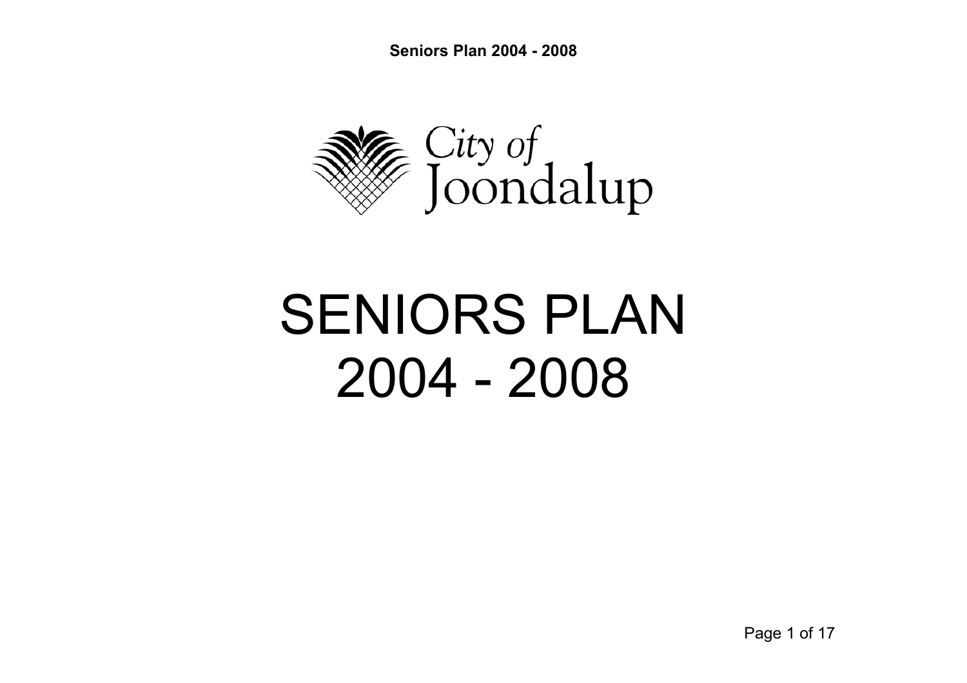**Seniors Plan 2004 - 2008** 



# SENIORS PLAN 2004 - 2008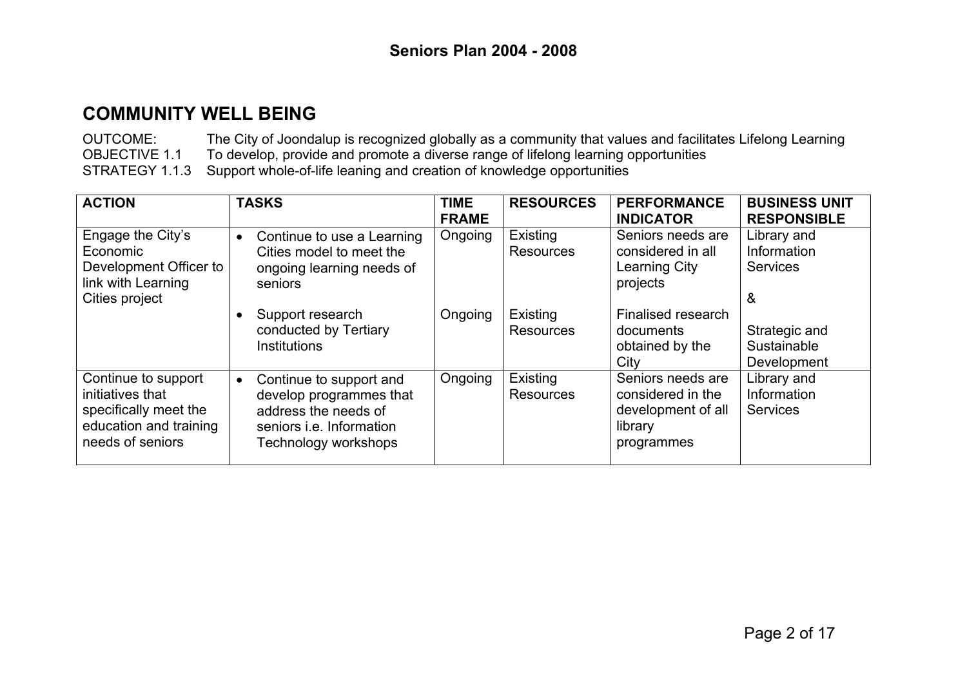OUTCOME: The City of Joondalup is recognized globally as a community that values and facilitates Lifelong Learning OBJECTIVE 1.1 To develop, provide and promote a diverse range of lifelong learning opportunities STRATEGY 1.1.3 Support whole-of-life leaning and creation of knowledge opportunities

| <b>ACTION</b>                                                                                                  | <b>TASKS</b>                                                                                                                                       | <b>TIME</b><br><b>FRAME</b> | <b>RESOURCES</b>             | <b>PERFORMANCE</b><br><b>INDICATOR</b>                                                | <b>BUSINESS UNIT</b><br><b>RESPONSIBLE</b>  |
|----------------------------------------------------------------------------------------------------------------|----------------------------------------------------------------------------------------------------------------------------------------------------|-----------------------------|------------------------------|---------------------------------------------------------------------------------------|---------------------------------------------|
| Engage the City's<br>Economic<br>Development Officer to<br>link with Learning<br>Cities project                | Continue to use a Learning<br>$\bullet$<br>Cities model to meet the<br>ongoing learning needs of<br>seniors                                        | Ongoing                     | Existing<br><b>Resources</b> | Seniors needs are<br>considered in all<br>Learning City<br>projects                   | Library and<br>Information<br>Services<br>& |
|                                                                                                                | Support research<br>conducted by Tertiary<br><b>Institutions</b>                                                                                   | Ongoing                     | Existing<br><b>Resources</b> | Finalised research<br>documents<br>obtained by the<br>City                            | Strategic and<br>Sustainable<br>Development |
| Continue to support<br>initiatives that<br>specifically meet the<br>education and training<br>needs of seniors | Continue to support and<br>$\bullet$<br>develop programmes that<br>address the needs of<br>seniors <i>i.e.</i> Information<br>Technology workshops | Ongoing                     | Existing<br><b>Resources</b> | Seniors needs are<br>considered in the<br>development of all<br>library<br>programmes | Library and<br>Information<br>Services      |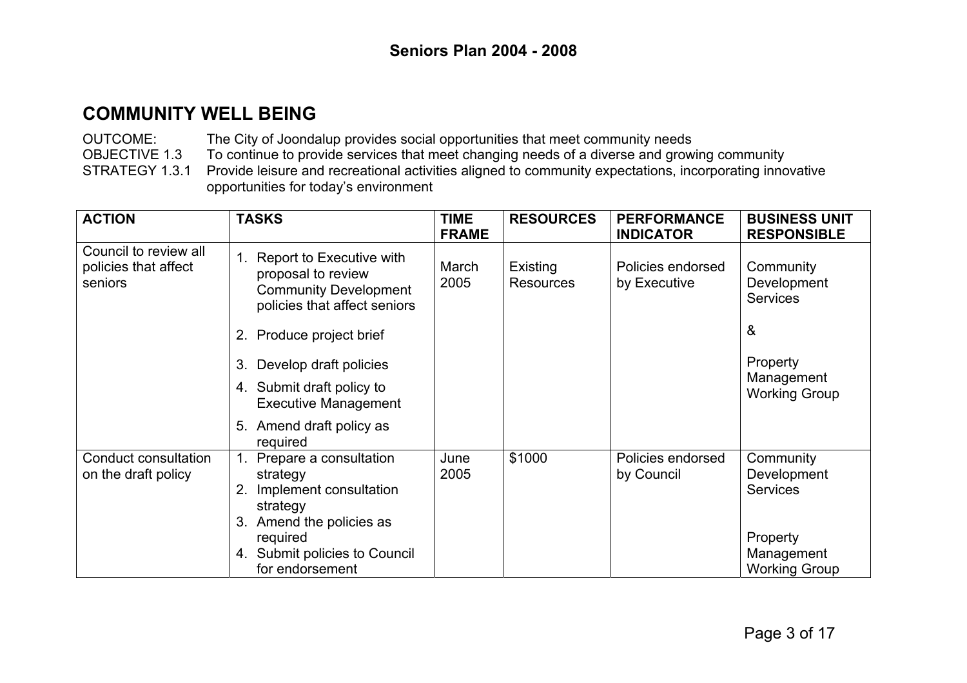OUTCOME: The City of Joondalup provides social opportunities that meet community needs OBJECTIVE 1.3 To continue to provide services that meet changing needs of a diverse and growing community STRATEGY 1.3.1 Provide leisure and recreational activities aligned to community expectations, incorporating innovative opportunities for today's environment

| <b>ACTION</b>                                            | <b>TASKS</b>                                                                                                      | <b>TIME</b><br><b>FRAME</b> | <b>RESOURCES</b>             | <b>PERFORMANCE</b><br><b>INDICATOR</b> | <b>BUSINESS UNIT</b><br><b>RESPONSIBLE</b>       |
|----------------------------------------------------------|-------------------------------------------------------------------------------------------------------------------|-----------------------------|------------------------------|----------------------------------------|--------------------------------------------------|
| Council to review all<br>policies that affect<br>seniors | 1. Report to Executive with<br>proposal to review<br><b>Community Development</b><br>policies that affect seniors | March<br>2005               | Existing<br><b>Resources</b> | Policies endorsed<br>by Executive      | Community<br>Development<br><b>Services</b><br>& |
|                                                          | 2. Produce project brief<br>Develop draft policies<br>3.                                                          |                             |                              |                                        | Property                                         |
|                                                          | 4. Submit draft policy to<br><b>Executive Management</b>                                                          |                             |                              |                                        | Management<br><b>Working Group</b>               |
|                                                          | Amend draft policy as<br>5.<br>required                                                                           |                             |                              |                                        |                                                  |
| Conduct consultation<br>on the draft policy              | Prepare a consultation<br>strategy<br>Implement consultation<br>2.<br>strategy<br>Amend the policies as<br>3.     | June<br>2005                | \$1000                       | Policies endorsed<br>by Council        | Community<br>Development<br><b>Services</b>      |
|                                                          | required<br>4. Submit policies to Council<br>for endorsement                                                      |                             |                              |                                        | Property<br>Management<br><b>Working Group</b>   |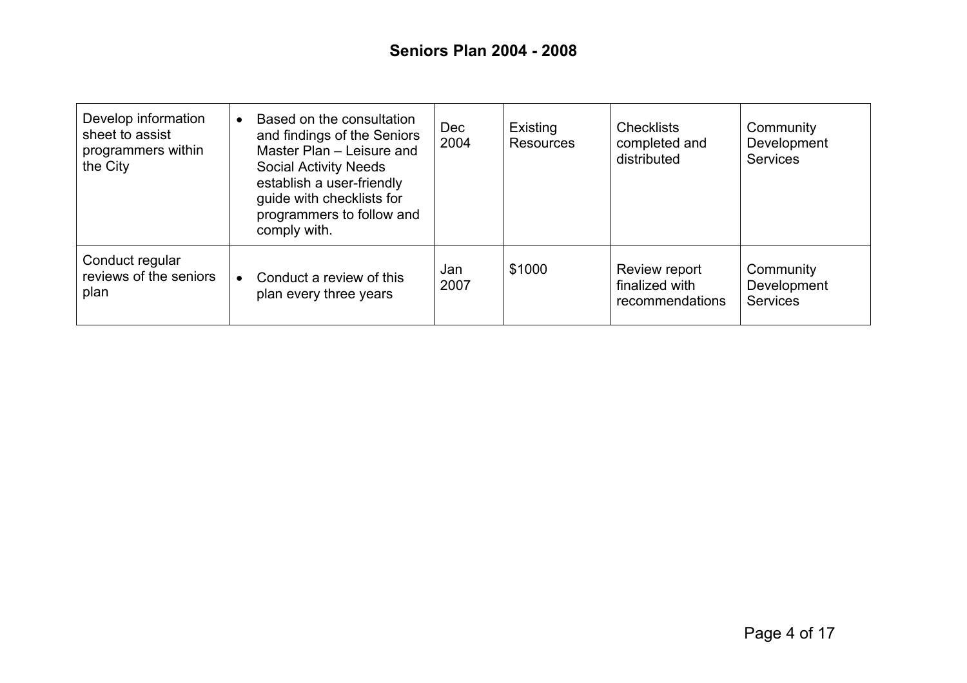| Develop information<br>sheet to assist<br>programmers within<br>the City | Based on the consultation<br>and findings of the Seniors<br>Master Plan - Leisure and<br><b>Social Activity Needs</b><br>establish a user-friendly<br>guide with checklists for<br>programmers to follow and<br>comply with. | Dec<br>2004 | Existing<br><b>Resources</b> | <b>Checklists</b><br>completed and<br>distributed  | Community<br>Development<br><b>Services</b> |
|--------------------------------------------------------------------------|------------------------------------------------------------------------------------------------------------------------------------------------------------------------------------------------------------------------------|-------------|------------------------------|----------------------------------------------------|---------------------------------------------|
| Conduct regular<br>reviews of the seniors<br>plan                        | Conduct a review of this<br>$\bullet$<br>plan every three years                                                                                                                                                              | Jan<br>2007 | \$1000                       | Review report<br>finalized with<br>recommendations | Community<br>Development<br><b>Services</b> |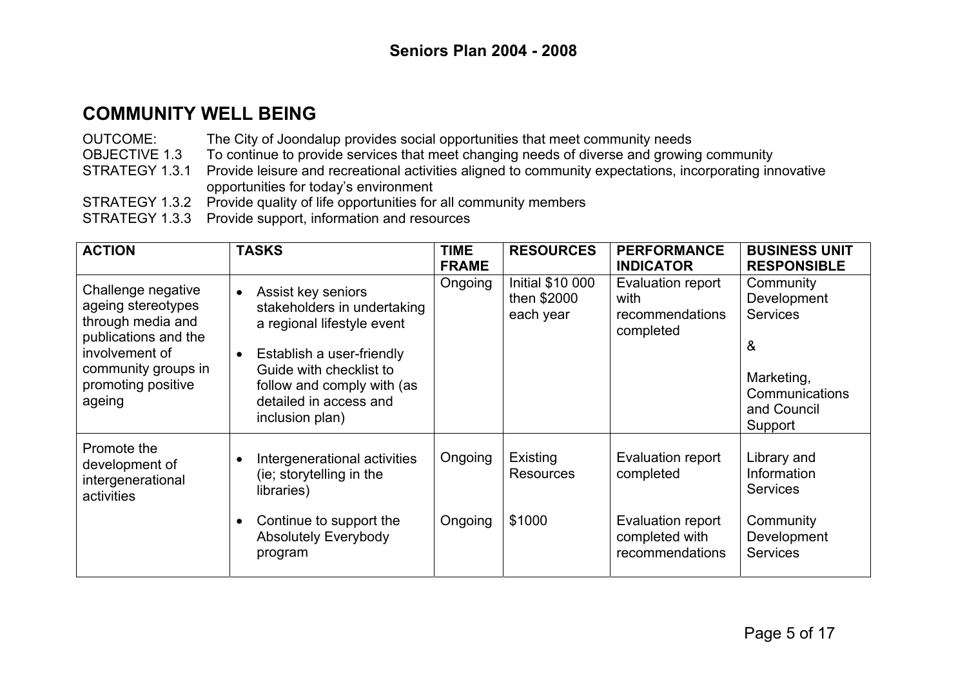OUTCOME: The City of Joondalup provides social opportunities that meet community needs OBJECTIVE 1.3 To continue to provide services that meet changing needs of diverse and growing community STRATEGY 1.3.1 Provide leisure and recreational activities aligned to community expectations, incorporating innovative opportunities for today's environment STRATEGY 1.3.2 Provide quality of life opportunities for all community members STRATEGY 1.3.3 Provide support, information and resources

| <b>ACTION</b>                                                                                                                                                  | <b>TASKS</b>                                                                                                                                                                                                                                 | <b>TIME</b><br><b>FRAME</b> | <b>RESOURCES</b>                                    | <b>PERFORMANCE</b><br><b>INDICATOR</b>                    | <b>BUSINESS UNIT</b><br><b>RESPONSIBLE</b>                                                                 |
|----------------------------------------------------------------------------------------------------------------------------------------------------------------|----------------------------------------------------------------------------------------------------------------------------------------------------------------------------------------------------------------------------------------------|-----------------------------|-----------------------------------------------------|-----------------------------------------------------------|------------------------------------------------------------------------------------------------------------|
| Challenge negative<br>ageing stereotypes<br>through media and<br>publications and the<br>involvement of<br>community groups in<br>promoting positive<br>ageing | Assist key seniors<br>$\bullet$<br>stakeholders in undertaking<br>a regional lifestyle event<br>Establish a user-friendly<br>$\bullet$<br>Guide with checklist to<br>follow and comply with (as<br>detailed in access and<br>inclusion plan) | Ongoing                     | <b>Initial \$10 000</b><br>then \$2000<br>each year | Evaluation report<br>with<br>recommendations<br>completed | Community<br>Development<br><b>Services</b><br>&<br>Marketing,<br>Communications<br>and Council<br>Support |
| Promote the<br>development of<br>intergenerational<br>activities                                                                                               | Intergenerational activities<br>$\bullet$<br>(ie; storytelling in the<br>libraries)                                                                                                                                                          | Ongoing                     | Existing<br><b>Resources</b>                        | Evaluation report<br>completed                            | Library and<br>Information<br><b>Services</b>                                                              |
|                                                                                                                                                                | Continue to support the<br>$\bullet$<br><b>Absolutely Everybody</b><br>program                                                                                                                                                               | Ongoing                     | \$1000                                              | Evaluation report<br>completed with<br>recommendations    | Community<br>Development<br><b>Services</b>                                                                |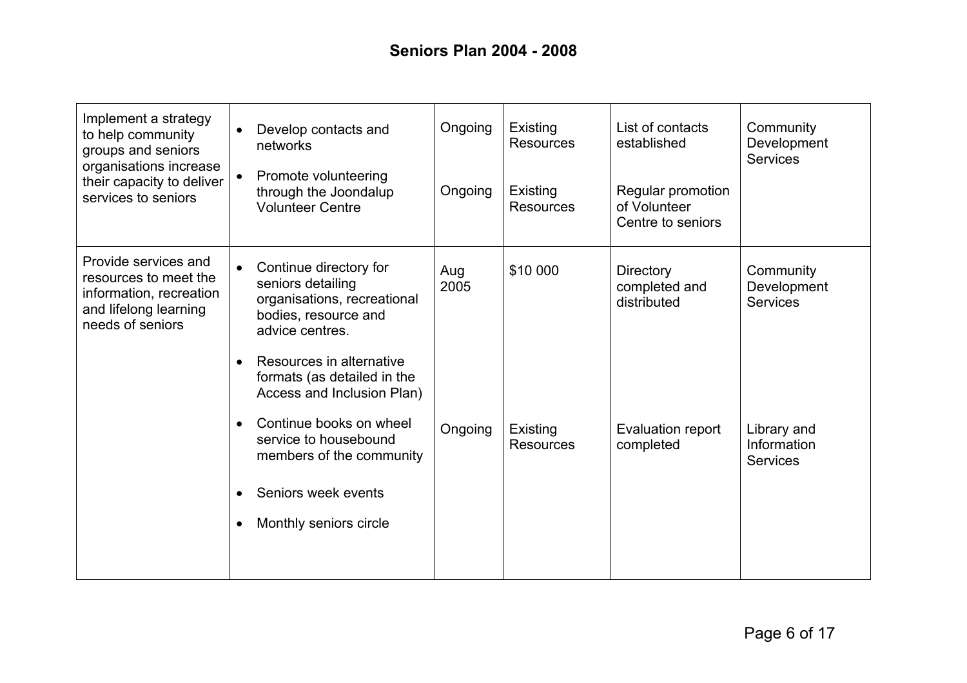| Implement a strategy<br>to help community<br>groups and seniors<br>organisations increase<br>their capacity to deliver<br>services to seniors | $\bullet$              | Develop contacts and<br>networks<br>Promote volunteering<br>through the Joondalup<br><b>Volunteer Centre</b>                                                                                                   | Ongoing<br>Ongoing | Existing<br><b>Resources</b><br>Existing<br><b>Resources</b> | List of contacts<br>established<br>Regular promotion<br>of Volunteer<br>Centre to seniors | Community<br>Development<br><b>Services</b>   |
|-----------------------------------------------------------------------------------------------------------------------------------------------|------------------------|----------------------------------------------------------------------------------------------------------------------------------------------------------------------------------------------------------------|--------------------|--------------------------------------------------------------|-------------------------------------------------------------------------------------------|-----------------------------------------------|
| Provide services and<br>resources to meet the<br>information, recreation<br>and lifelong learning<br>needs of seniors                         | $\bullet$              | Continue directory for<br>seniors detailing<br>organisations, recreational<br>bodies, resource and<br>advice centres.<br>Resources in alternative<br>formats (as detailed in the<br>Access and Inclusion Plan) | Aug<br>2005        | \$10 000                                                     | <b>Directory</b><br>completed and<br>distributed                                          | Community<br>Development<br><b>Services</b>   |
|                                                                                                                                               | $\bullet$<br>$\bullet$ | Continue books on wheel<br>service to housebound<br>members of the community<br>Seniors week events<br>Monthly seniors circle                                                                                  | Ongoing            | Existing<br><b>Resources</b>                                 | Evaluation report<br>completed                                                            | Library and<br>Information<br><b>Services</b> |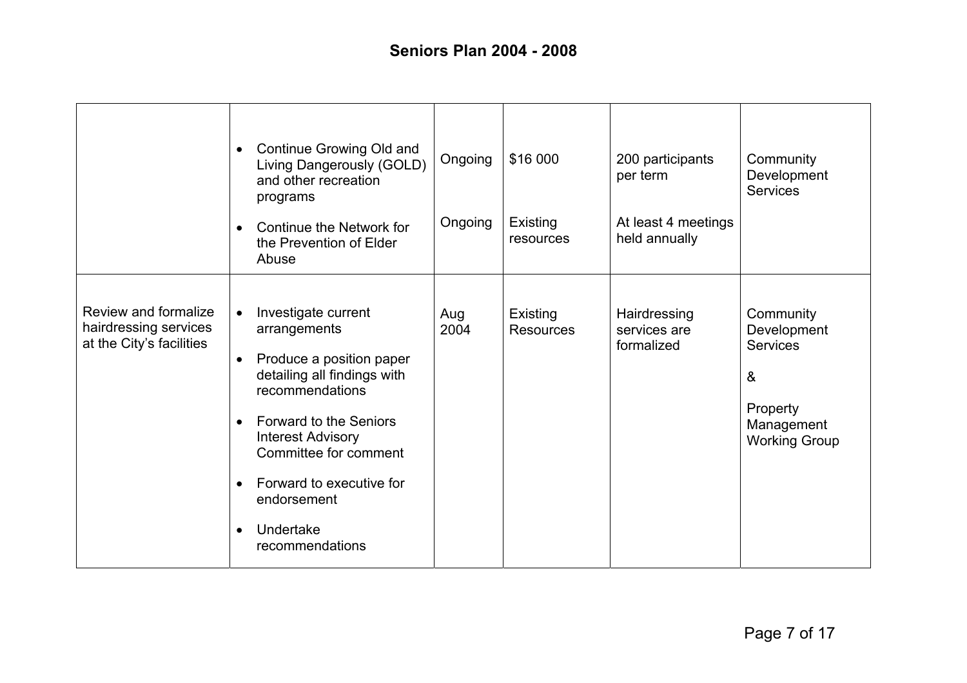|                                                                           | Continue Growing Old and<br>$\bullet$<br>Living Dangerously (GOLD)<br>and other recreation<br>programs<br>Continue the Network for<br>$\bullet$<br>the Prevention of Elder<br>Abuse                                                                                                                                                          | Ongoing<br>Ongoing | \$16 000<br>Existing<br>resources | 200 participants<br>per term<br>At least 4 meetings<br>held annually | Community<br>Development<br><b>Services</b>                                                        |
|---------------------------------------------------------------------------|----------------------------------------------------------------------------------------------------------------------------------------------------------------------------------------------------------------------------------------------------------------------------------------------------------------------------------------------|--------------------|-----------------------------------|----------------------------------------------------------------------|----------------------------------------------------------------------------------------------------|
| Review and formalize<br>hairdressing services<br>at the City's facilities | Investigate current<br>$\bullet$<br>arrangements<br>Produce a position paper<br>$\bullet$<br>detailing all findings with<br>recommendations<br>Forward to the Seniors<br>$\bullet$<br><b>Interest Advisory</b><br>Committee for comment<br>Forward to executive for<br>$\bullet$<br>endorsement<br>Undertake<br>$\bullet$<br>recommendations | Aug<br>2004        | Existing<br><b>Resources</b>      | Hairdressing<br>services are<br>formalized                           | Community<br>Development<br><b>Services</b><br>&<br>Property<br>Management<br><b>Working Group</b> |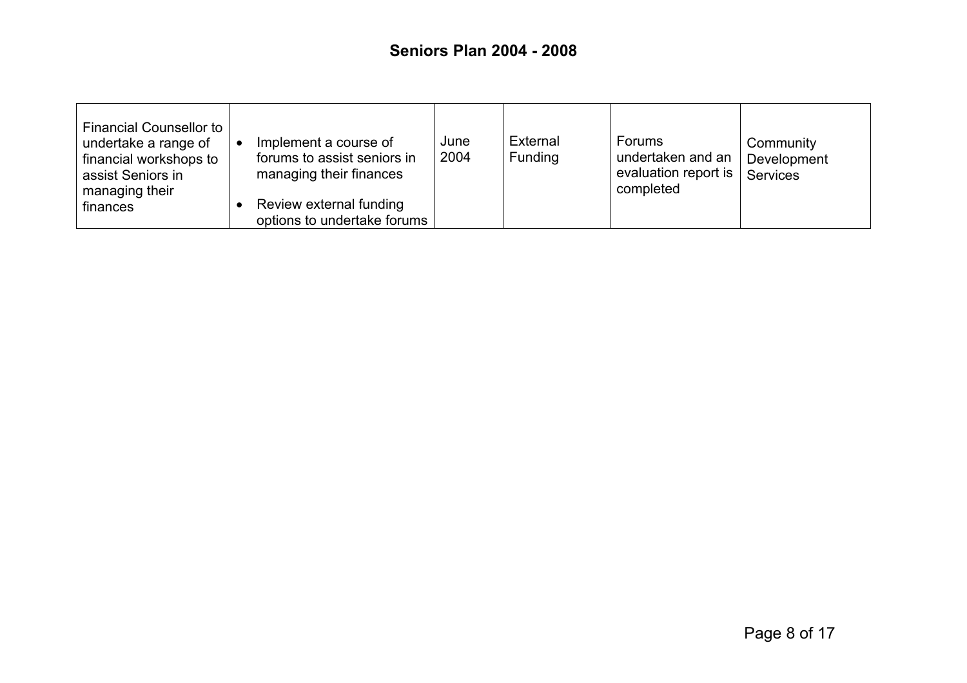| <b>Financial Counsellor to</b><br>undertake a range of<br>financial workshops to<br>assist Seniors in<br>managing their | Implement a course of<br>forums to assist seniors in<br>managing their finances | June<br>2004 | External<br>Funding | <b>Forums</b><br>undertaken and an<br>evaluation report is<br>completed | Community<br>Development<br>Services |
|-------------------------------------------------------------------------------------------------------------------------|---------------------------------------------------------------------------------|--------------|---------------------|-------------------------------------------------------------------------|--------------------------------------|
| finances                                                                                                                | Review external funding<br>options to undertake forums                          |              |                     |                                                                         |                                      |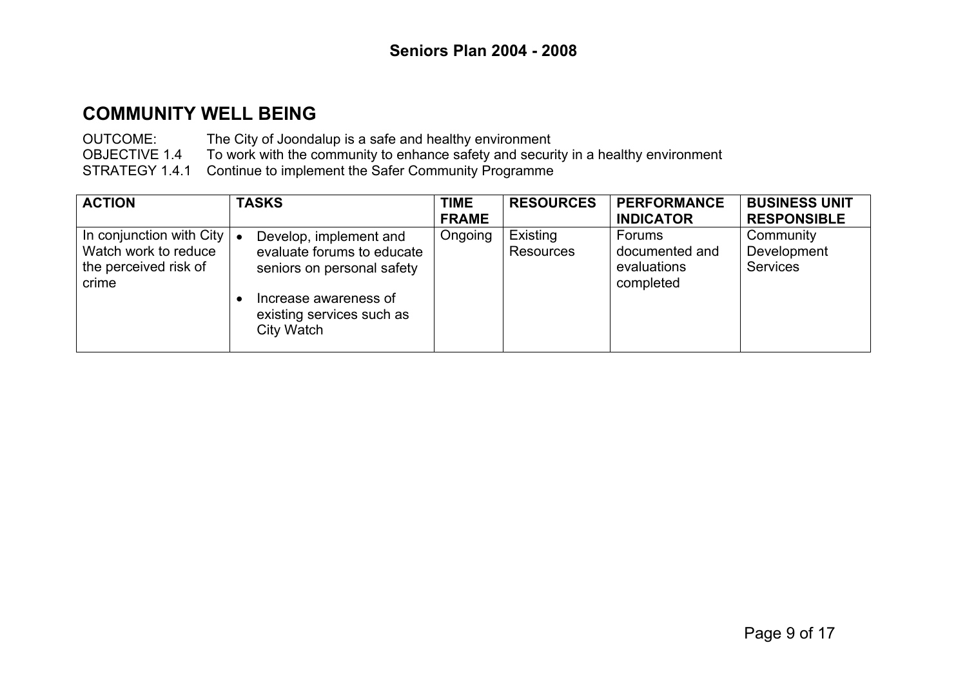OUTCOME: The City of Joondalup is a safe and healthy environment OBJECTIVE 1.4 To work with the community to enhance safety and security in a healthy environment STRATEGY 1.4.1 Continue to implement the Safer Community Programme

| <b>ACTION</b>                                                                      | <b>TASKS</b>                                                                                                                                                        | <b>TIME</b>  | <b>RESOURCES</b>      | <b>PERFORMANCE</b>                                   | <b>BUSINESS UNIT</b>                        |
|------------------------------------------------------------------------------------|---------------------------------------------------------------------------------------------------------------------------------------------------------------------|--------------|-----------------------|------------------------------------------------------|---------------------------------------------|
|                                                                                    |                                                                                                                                                                     | <b>FRAME</b> |                       | <b>INDICATOR</b>                                     | <b>RESPONSIBLE</b>                          |
| In conjunction with City<br>Watch work to reduce<br>the perceived risk of<br>crime | Develop, implement and<br>$\bullet$<br>evaluate forums to educate<br>seniors on personal safety<br>Increase awareness of<br>existing services such as<br>City Watch | Ongoing      | Existing<br>Resources | Forums<br>documented and<br>evaluations<br>completed | Community<br>Development<br><b>Services</b> |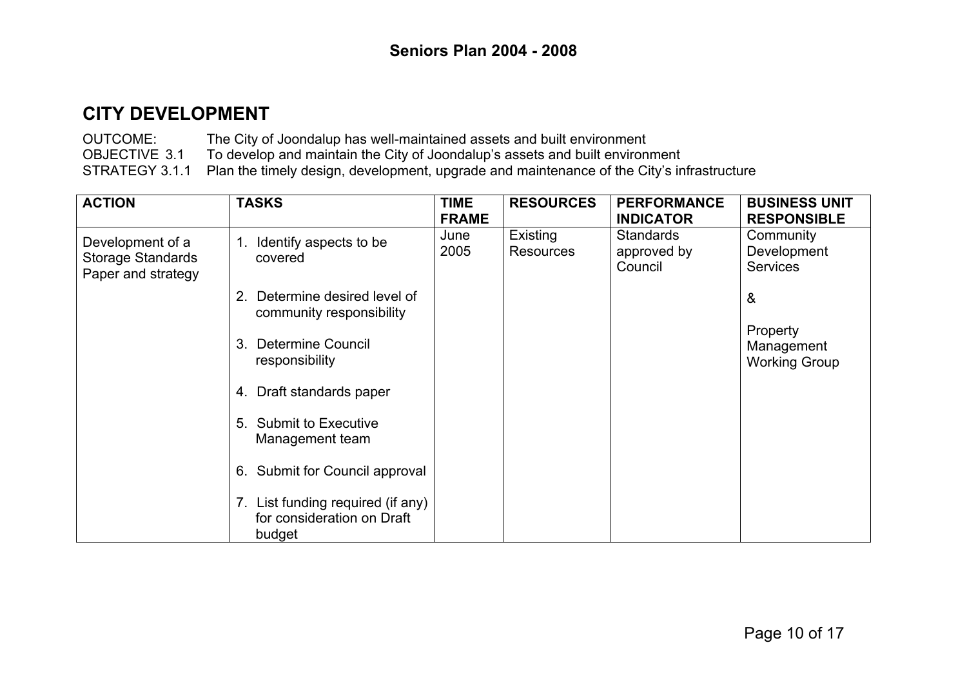OUTCOME: The City of Joondalup has well-maintained assets and built environment OBJECTIVE 3.1 To develop and maintain the City of Joondalup's assets and built environment STRATEGY 3.1.1 Plan the timely design, development, upgrade and maintenance of the City's infrastructure

| <b>ACTION</b>                                                      | <b>TASKS</b>                                                              | <b>TIME</b>  | <b>RESOURCES</b>             | <b>PERFORMANCE</b>                         | <b>BUSINESS UNIT</b>                           |
|--------------------------------------------------------------------|---------------------------------------------------------------------------|--------------|------------------------------|--------------------------------------------|------------------------------------------------|
|                                                                    |                                                                           | <b>FRAME</b> |                              | <b>INDICATOR</b>                           | <b>RESPONSIBLE</b>                             |
| Development of a<br><b>Storage Standards</b><br>Paper and strategy | 1. Identify aspects to be<br>covered                                      | June<br>2005 | Existing<br><b>Resources</b> | <b>Standards</b><br>approved by<br>Council | Community<br>Development<br><b>Services</b>    |
|                                                                    | Determine desired level of<br>2.<br>community responsibility              |              |                              |                                            | &                                              |
|                                                                    | Determine Council<br>3.<br>responsibility                                 |              |                              |                                            | Property<br>Management<br><b>Working Group</b> |
|                                                                    | 4. Draft standards paper                                                  |              |                              |                                            |                                                |
|                                                                    | 5. Submit to Executive<br>Management team                                 |              |                              |                                            |                                                |
|                                                                    | 6. Submit for Council approval                                            |              |                              |                                            |                                                |
|                                                                    | 7. List funding required (if any)<br>for consideration on Draft<br>budget |              |                              |                                            |                                                |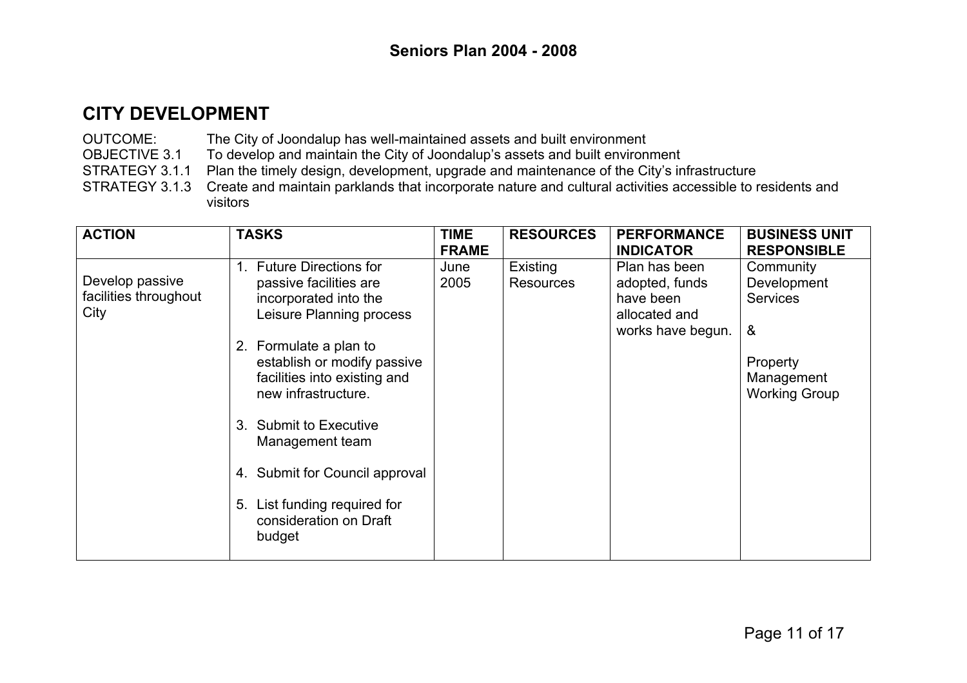OUTCOME: The City of Joondalup has well-maintained assets and built environment

OBJECTIVE 3.1 To develop and maintain the City of Joondalup's assets and built environment<br>STRATEGY 3.1.1 Plan the timely design, development, upgrade and maintenance of the City's in

Plan the timely design, development, upgrade and maintenance of the City's infrastructure

STRATEGY 3.1.3 Create and maintain parklands that incorporate nature and cultural activities accessible to residents and visitors

| <b>ACTION</b>         | <b>TASKS</b>                   | <b>TIME</b>  | <b>RESOURCES</b> | <b>PERFORMANCE</b> | <b>BUSINESS UNIT</b> |
|-----------------------|--------------------------------|--------------|------------------|--------------------|----------------------|
|                       |                                | <b>FRAME</b> |                  | <b>INDICATOR</b>   | <b>RESPONSIBLE</b>   |
|                       | <b>Future Directions for</b>   | June         | Existing         | Plan has been      | Community            |
| Develop passive       | passive facilities are         | 2005         | <b>Resources</b> | adopted, funds     | Development          |
| facilities throughout | incorporated into the          |              |                  | have been          | <b>Services</b>      |
| City                  | Leisure Planning process       |              |                  | allocated and      |                      |
|                       |                                |              |                  | works have begun.  | &                    |
|                       | 2. Formulate a plan to         |              |                  |                    |                      |
|                       | establish or modify passive    |              |                  |                    | Property             |
|                       | facilities into existing and   |              |                  |                    | Management           |
|                       | new infrastructure.            |              |                  |                    | <b>Working Group</b> |
|                       |                                |              |                  |                    |                      |
|                       | 3. Submit to Executive         |              |                  |                    |                      |
|                       | Management team                |              |                  |                    |                      |
|                       |                                |              |                  |                    |                      |
|                       | 4. Submit for Council approval |              |                  |                    |                      |
|                       |                                |              |                  |                    |                      |
|                       | 5. List funding required for   |              |                  |                    |                      |
|                       | consideration on Draft         |              |                  |                    |                      |
|                       | budget                         |              |                  |                    |                      |
|                       |                                |              |                  |                    |                      |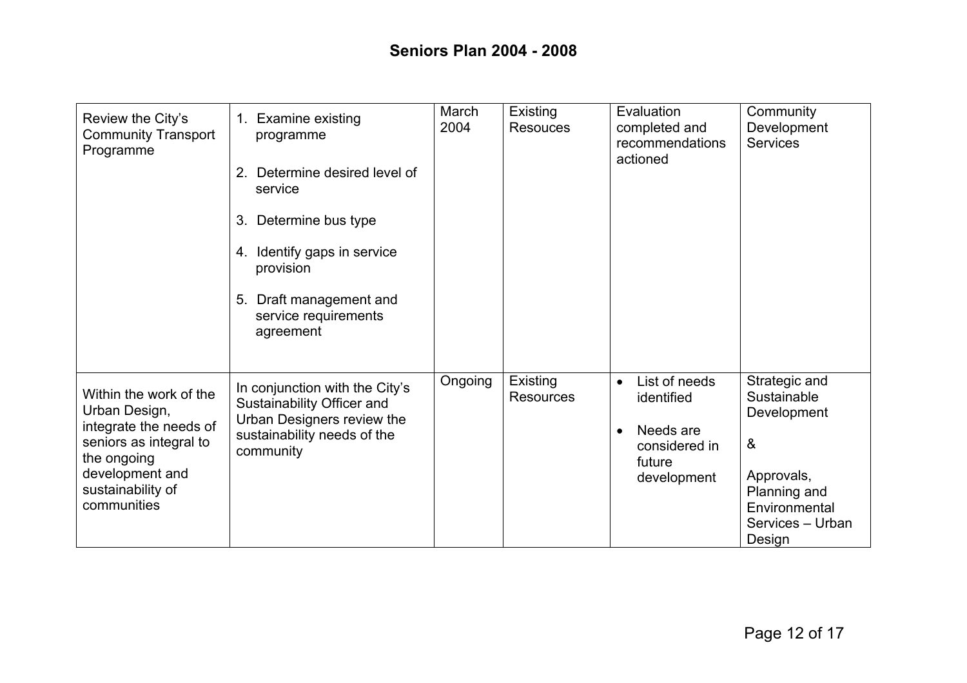| Review the City's<br><b>Community Transport</b><br>Programme                                                                                                      | 1. Examine existing<br>programme<br>Determine desired level of<br>2.<br>service<br>3. Determine bus type<br>4. Identify gaps in service<br>provision<br>5. Draft management and<br>service requirements<br>agreement | March<br>2004 | Existing<br><b>Resouces</b>  | Evaluation<br>completed and<br>recommendations<br>actioned                                      | Community<br>Development<br><b>Services</b>                                                                                                       |
|-------------------------------------------------------------------------------------------------------------------------------------------------------------------|----------------------------------------------------------------------------------------------------------------------------------------------------------------------------------------------------------------------|---------------|------------------------------|-------------------------------------------------------------------------------------------------|---------------------------------------------------------------------------------------------------------------------------------------------------|
| Within the work of the<br>Urban Design,<br>integrate the needs of<br>seniors as integral to<br>the ongoing<br>development and<br>sustainability of<br>communities | In conjunction with the City's<br>Sustainability Officer and<br>Urban Designers review the<br>sustainability needs of the<br>community                                                                               | Ongoing       | Existing<br><b>Resources</b> | List of needs<br>$\bullet$<br>identified<br>Needs are<br>considered in<br>future<br>development | Strategic and<br>Sustainable<br>Development<br>$\boldsymbol{\alpha}$<br>Approvals,<br>Planning and<br>Environmental<br>Services - Urban<br>Design |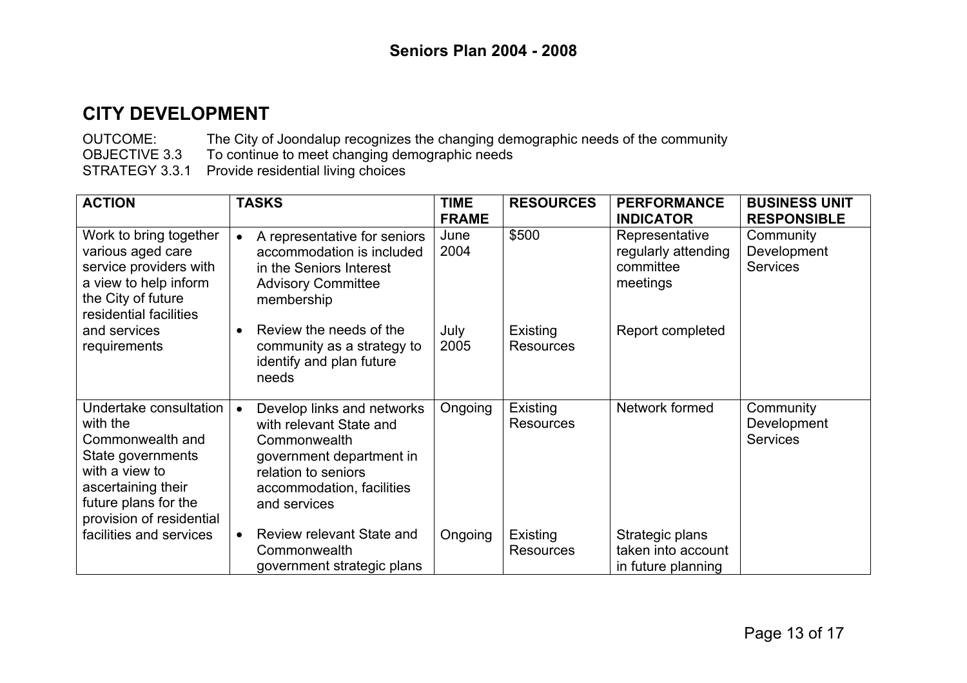OUTCOME: The City of Joondalup recognizes the changing demographic needs of the community OBJECTIVE 3.3 To continue to meet changing demographic needs STRATEGY 3.3.1 Provide residential living choices

| <b>ACTION</b>                                                                                                                                                           | <b>TASKS</b>                                                                                                                                                                       | <b>TIME</b><br><b>FRAME</b> | <b>RESOURCES</b>             | <b>PERFORMANCE</b><br><b>INDICATOR</b>                         | <b>BUSINESS UNIT</b><br><b>RESPONSIBLE</b>  |
|-------------------------------------------------------------------------------------------------------------------------------------------------------------------------|------------------------------------------------------------------------------------------------------------------------------------------------------------------------------------|-----------------------------|------------------------------|----------------------------------------------------------------|---------------------------------------------|
| Work to bring together<br>various aged care<br>service providers with<br>a view to help inform<br>the City of future<br>residential facilities                          | A representative for seniors<br>$\bullet$<br>accommodation is included<br>in the Seniors Interest<br><b>Advisory Committee</b><br>membership                                       | June<br>2004                | \$500                        | Representative<br>regularly attending<br>committee<br>meetings | Community<br>Development<br><b>Services</b> |
| and services<br>requirements                                                                                                                                            | Review the needs of the<br>$\bullet$<br>community as a strategy to<br>identify and plan future<br>needs                                                                            | July<br>2005                | Existing<br><b>Resources</b> | Report completed                                               |                                             |
| Undertake consultation<br>with the<br>Commonwealth and<br>State governments<br>with a view to<br>ascertaining their<br>future plans for the<br>provision of residential | Develop links and networks<br>$\bullet$<br>with relevant State and<br>Commonwealth<br>government department in<br>relation to seniors<br>accommodation, facilities<br>and services | Ongoing                     | Existing<br><b>Resources</b> | Network formed                                                 | Community<br>Development<br><b>Services</b> |
| facilities and services                                                                                                                                                 | Review relevant State and<br>$\bullet$<br>Commonwealth<br>government strategic plans                                                                                               | Ongoing                     | Existing<br><b>Resources</b> | Strategic plans<br>taken into account<br>in future planning    |                                             |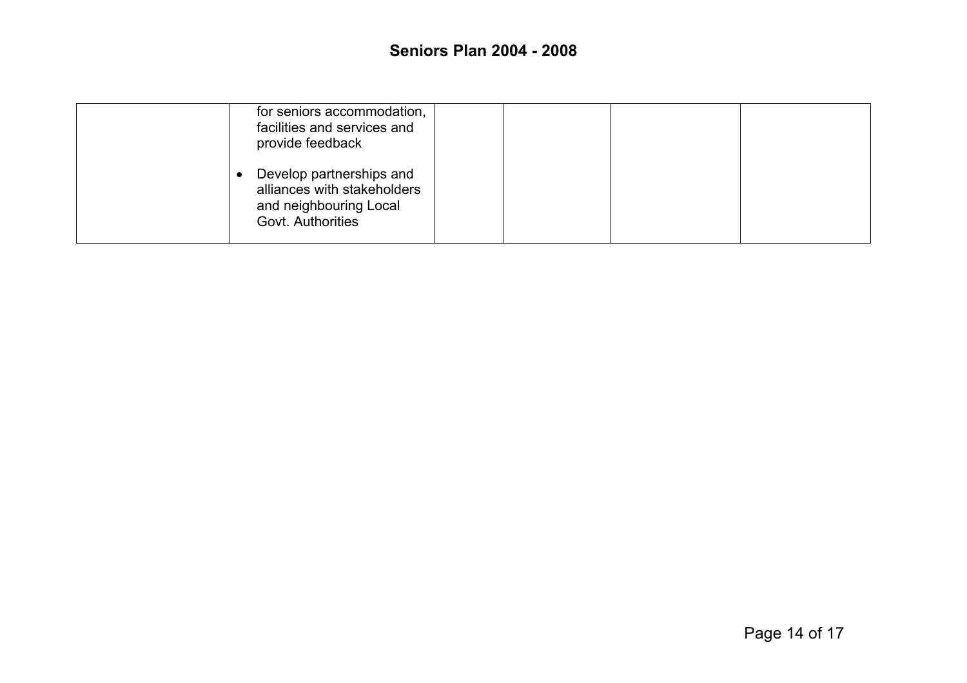| for seniors accommodation,<br>facilities and services and<br>provide feedback                          |
|--------------------------------------------------------------------------------------------------------|
| Develop partnerships and<br>alliances with stakeholders<br>and neighbouring Local<br>Govt. Authorities |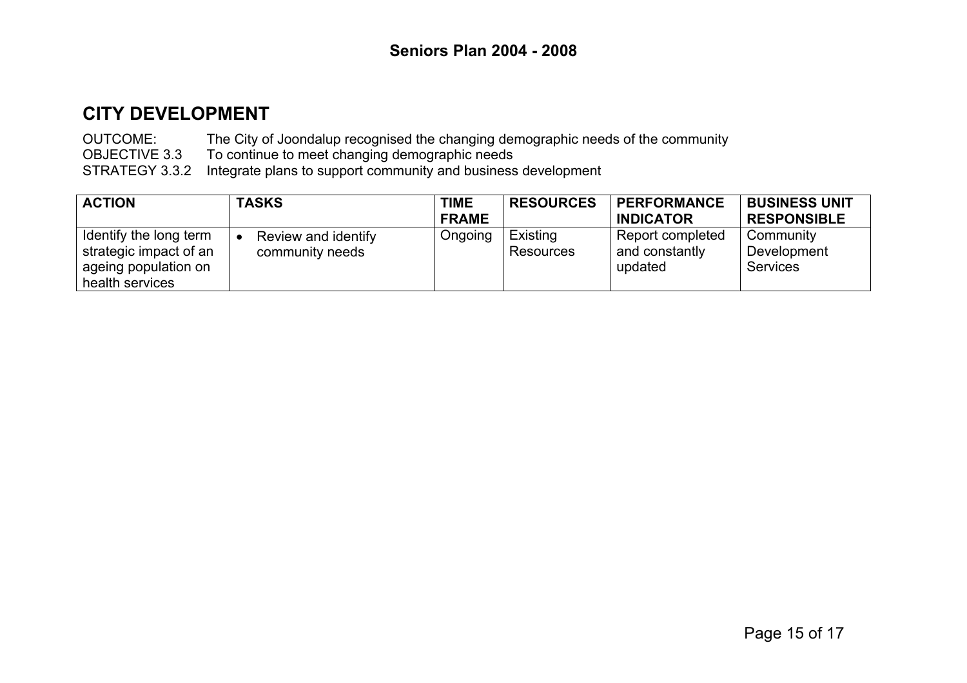OUTCOME: The City of Joondalup recognised the changing demographic needs of the community OBJECTIVE 3.3 To continue to meet changing demographic needs STRATEGY 3.3.2 Integrate plans to support community and business development

| <b>ACTION</b>                                                                               | <b>TASKS</b>                           | <b>TIME</b>  | <b>RESOURCES</b>      | <b>PERFORMANCE</b>                            | <b>BUSINESS UNIT</b>                        |
|---------------------------------------------------------------------------------------------|----------------------------------------|--------------|-----------------------|-----------------------------------------------|---------------------------------------------|
|                                                                                             |                                        | <b>FRAME</b> |                       | <b>INDICATOR</b>                              | <b>RESPONSIBLE</b>                          |
| Identify the long term<br>strategic impact of an<br>ageing population on<br>health services | Review and identify<br>community needs | Ongoing      | Existing<br>Resources | Report completed<br>and constantly<br>updated | Community<br>Development<br><b>Services</b> |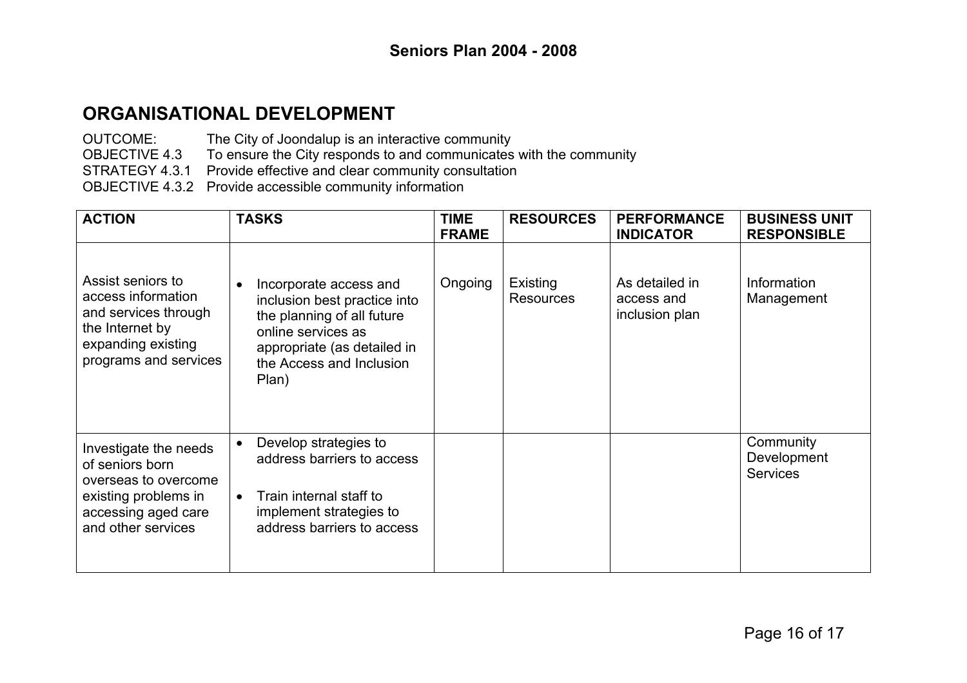## **ORGANISATIONAL DEVELOPMENT**

OUTCOME: The City of Joondalup is an interactive community

OBJECTIVE 4.3 To ensure the City responds to and communicates with the community

STRATEGY 4.3.1 Provide effective and clear community consultation

OBJECTIVE 4.3.2 Provide accessible community information

| <b>ACTION</b>                                                                                                                         | <b>TASKS</b>                                                                                                                                                                                | <b>TIME</b><br><b>FRAME</b> | <b>RESOURCES</b>             | <b>PERFORMANCE</b><br><b>INDICATOR</b>         | <b>BUSINESS UNIT</b><br><b>RESPONSIBLE</b>  |
|---------------------------------------------------------------------------------------------------------------------------------------|---------------------------------------------------------------------------------------------------------------------------------------------------------------------------------------------|-----------------------------|------------------------------|------------------------------------------------|---------------------------------------------|
| Assist seniors to<br>access information<br>and services through<br>the Internet by<br>expanding existing<br>programs and services     | Incorporate access and<br>$\bullet$<br>inclusion best practice into<br>the planning of all future<br>online services as<br>appropriate (as detailed in<br>the Access and Inclusion<br>Plan) | Ongoing                     | Existing<br><b>Resources</b> | As detailed in<br>access and<br>inclusion plan | Information<br>Management                   |
| Investigate the needs<br>of seniors born<br>overseas to overcome<br>existing problems in<br>accessing aged care<br>and other services | Develop strategies to<br>$\bullet$<br>address barriers to access<br>Train internal staff to<br>implement strategies to<br>address barriers to access                                        |                             |                              |                                                | Community<br>Development<br><b>Services</b> |